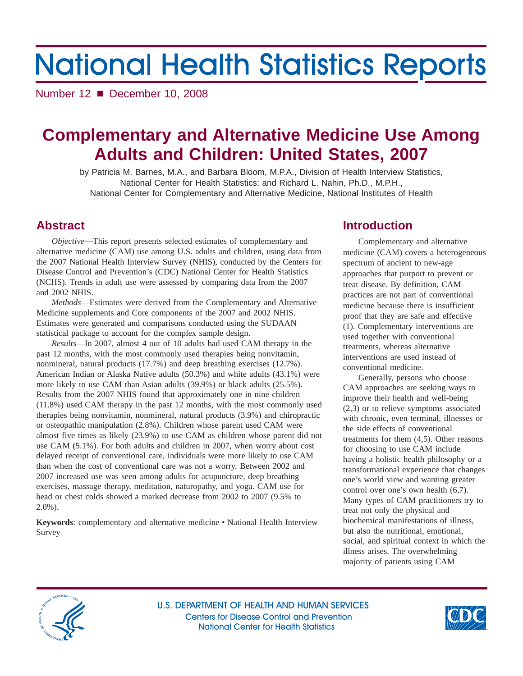# **National Health Statistics Reports**

Number 12  $\blacksquare$  December 10, 2008

# **Complementary and Alternative Medicine Use Among Adults and Children: United States, 2007**

by Patricia M. Barnes, M.A., and Barbara Bloom, M.P.A., Division of Health Interview Statistics, National Center for Health Statistics; and Richard L. Nahin, Ph.D., M.P.H., National Center for Complementary and Alternative Medicine, National Institutes of Health

# **Abstract**

*Objective*—This report presents selected estimates of complementary and alternative medicine (CAM) use among U.S. adults and children, using data from the 2007 National Health Interview Survey (NHIS), conducted by the Centers for Disease Control and Prevention's (CDC) National Center for Health Statistics (NCHS). Trends in adult use were assessed by comparing data from the 2007 and 2002 NHIS.

*Methods*—Estimates were derived from the Complementary and Alternative Medicine supplements and Core components of the 2007 and 2002 NHIS. Estimates were generated and comparisons conducted using the SUDAAN statistical package to account for the complex sample design.

*Results*—In 2007, almost 4 out of 10 adults had used CAM therapy in the past 12 months, with the most commonly used therapies being nonvitamin, nonmineral, natural products (17.7%) and deep breathing exercises (12.7%). American Indian or Alaska Native adults (50.3%) and white adults (43.1%) were more likely to use CAM than Asian adults (39.9%) or black adults (25.5%). Results from the 2007 NHIS found that approximately one in nine children (11.8%) used CAM therapy in the past 12 months, with the most commonly used therapies being nonvitamin, nonmineral, natural products (3.9%) and chiropractic or osteopathic manipulation (2.8%). Children whose parent used CAM were almost five times as likely (23.9%) to use CAM as children whose parent did not use CAM (5.1%). For both adults and children in 2007, when worry about cost delayed receipt of conventional care, individuals were more likely to use CAM than when the cost of conventional care was not a worry. Between 2002 and 2007 increased use was seen among adults for acupuncture, deep breathing exercises, massage therapy, meditation, naturopathy, and yoga. CAM use for head or chest colds showed a marked decrease from 2002 to 2007 (9.5% to 2.0%).

**Keywords**: complementary and alternative medicine • National Health Interview Survey

# **Introduction**

Complementary and alternative medicine (CAM) covers a heterogeneous spectrum of ancient to new-age approaches that purport to prevent or treat disease. By definition, CAM practices are not part of conventional medicine because there is insufficient proof that they are safe and effective (1). Complementary interventions are used together with conventional treatments, whereas alternative interventions are used instead of conventional medicine.

Generally, persons who choose CAM approaches are seeking ways to improve their health and well-being (2,3) or to relieve symptoms associated with chronic, even terminal, illnesses or the side effects of conventional treatments for them (4,5). Other reasons for choosing to use CAM include having a holistic health philosophy or a transformational experience that changes one's world view and wanting greater control over one's own health (6,7). Many types of CAM practitioners try to treat not only the physical and biochemical manifestations of illness, but also the nutritional, emotional, social, and spiritual context in which the illness arises. The overwhelming majority of patients using CAM



U.S. DEPARTMENT OF HEALTH AND HUMAN SERVICES Centers for Disease Control and Prevention National Center for Health Statistics

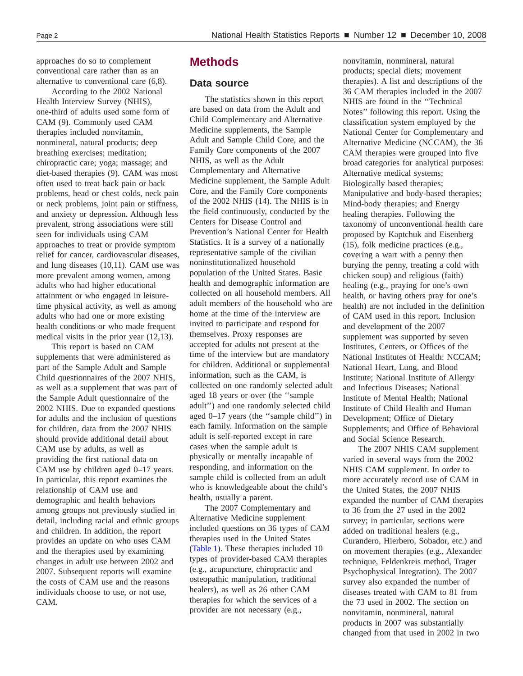approaches do so to complement conventional care rather than as an alternative to conventional care (6,8).

According to the 2002 National Health Interview Survey (NHIS), one-third of adults used some form of CAM (9). Commonly used CAM therapies included nonvitamin, nonmineral, natural products; deep breathing exercises; meditation; chiropractic care; yoga; massage; and diet-based therapies (9). CAM was most often used to treat back pain or back problems, head or chest colds, neck pain or neck problems, joint pain or stiffness, and anxiety or depression. Although less prevalent, strong associations were still seen for individuals using CAM approaches to treat or provide symptom relief for cancer, cardiovascular diseases, and lung diseases (10,11). CAM use was more prevalent among women, among adults who had higher educational attainment or who engaged in leisuretime physical activity, as well as among adults who had one or more existing health conditions or who made frequent medical visits in the prior year (12,13).

This report is based on CAM supplements that were administered as part of the Sample Adult and Sample Child questionnaires of the 2007 NHIS, as well as a supplement that was part of the Sample Adult questionnaire of the 2002 NHIS. Due to expanded questions for adults and the inclusion of questions for children, data from the 2007 NHIS should provide additional detail about CAM use by adults, as well as providing the first national data on CAM use by children aged 0–17 years. In particular, this report examines the relationship of CAM use and demographic and health behaviors among groups not previously studied in detail, including racial and ethnic groups and children. In addition, the report provides an update on who uses CAM and the therapies used by examining changes in adult use between 2002 and 2007. Subsequent reports will examine the costs of CAM use and the reasons individuals choose to use, or not use, CAM.

### **Methods**

### **Data source**

The statistics shown in this report are based on data from the Adult and Child Complementary and Alternative Medicine supplements, the Sample Adult and Sample Child Core, and the Family Core components of the 2007 NHIS, as well as the Adult Complementary and Alternative Medicine supplement, the Sample Adult Core, and the Family Core components of the 2002 NHIS (14). The NHIS is in the field continuously, conducted by the Centers for Disease Control and Prevention's National Center for Health Statistics. It is a survey of a nationally representative sample of the civilian noninstitutionalized household population of the United States. Basic health and demographic information are collected on all household members. All adult members of the household who are home at the time of the interview are invited to participate and respond for themselves. Proxy responses are accepted for adults not present at the time of the interview but are mandatory for children. Additional or supplemental information, such as the CAM, is collected on one randomly selected adult aged 18 years or over (the ''sample adult'') and one randomly selected child aged 0–17 years (the ''sample child'') in each family. Information on the sample adult is self-reported except in rare cases when the sample adult is physically or mentally incapable of responding, and information on the sample child is collected from an adult who is knowledgeable about the child's health, usually a parent.

The 2007 Complementary and Alternative Medicine supplement included questions on 36 types of CAM therapies used in the United States [\(Table](#page-9-0) 1). These therapies included 10 types of provider-based CAM therapies (e.g., acupuncture, chiropractic and osteopathic manipulation, traditional healers), as well as 26 other CAM therapies for which the services of a provider are not necessary (e.g.,

nonvitamin, nonmineral, natural products; special diets; movement therapies). A list and descriptions of the 36 CAM therapies included in the 2007 NHIS are found in the ''Technical Notes'' following this report. Using the classification system employed by the National Center for Complementary and Alternative Medicine (NCCAM), the 36 CAM therapies were grouped into five broad categories for analytical purposes: Alternative medical systems; Biologically based therapies; Manipulative and body-based therapies; Mind-body therapies; and Energy healing therapies. Following the taxonomy of unconventional health care proposed by Kaptchuk and Eisenberg (15), folk medicine practices (e.g., covering a wart with a penny then burying the penny, treating a cold with chicken soup) and religious (faith) healing (e.g., praying for one's own health, or having others pray for one's health) are not included in the definition of CAM used in this report. Inclusion and development of the 2007 supplement was supported by seven Institutes, Centers, or Offices of the National Institutes of Health: NCCAM; National Heart, Lung, and Blood Institute; National Institute of Allergy and Infectious Diseases; National Institute of Mental Health; National Institute of Child Health and Human Development; Office of Dietary Supplements; and Office of Behavioral and Social Science Research.

The 2007 NHIS CAM supplement varied in several ways from the 2002 NHIS CAM supplement. In order to more accurately record use of CAM in the United States, the 2007 NHIS expanded the number of CAM therapies to 36 from the 27 used in the 2002 survey; in particular, sections were added on traditional healers (e.g., Curandero, Hierbero, Sobador, etc.) and on movement therapies (e.g., Alexander technique, Feldenkreis method, Trager Psychophysical Integration). The 2007 survey also expanded the number of diseases treated with CAM to 81 from the 73 used in 2002. The section on nonvitamin, nonmineral, natural products in 2007 was substantially changed from that used in 2002 in two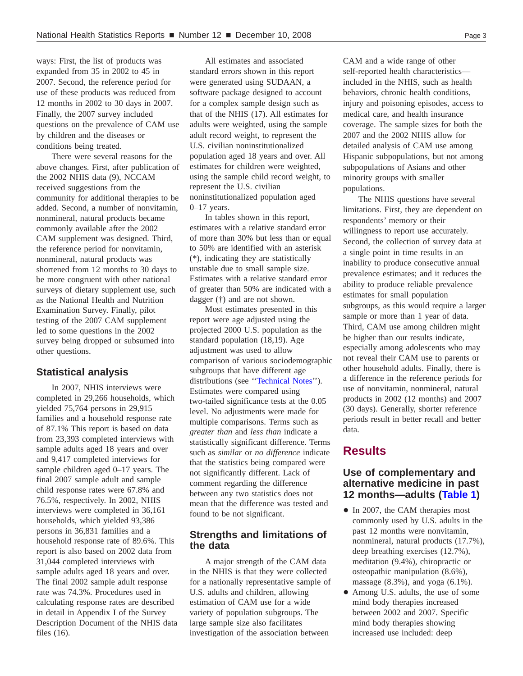ways: First, the list of products was expanded from 35 in 2002 to 45 in 2007. Second, the reference period for use of these products was reduced from 12 months in 2002 to 30 days in 2007. Finally, the 2007 survey included questions on the prevalence of CAM use by children and the diseases or conditions being treated.

There were several reasons for the above changes. First, after publication of the 2002 NHIS data (9), NCCAM received suggestions from the community for additional therapies to be added. Second, a number of nonvitamin, nonmineral, natural products became commonly available after the 2002 CAM supplement was designed. Third, the reference period for nonvitamin, nonmineral, natural products was shortened from 12 months to 30 days to be more congruent with other national surveys of dietary supplement use, such as the National Health and Nutrition Examination Survey. Finally, pilot testing of the 2007 CAM supplement led to some questions in the 2002 survey being dropped or subsumed into other questions.

### **Statistical analysis**

In 2007, NHIS interviews were completed in 29,266 households, which yielded 75,764 persons in 29,915 families and a household response rate of 87.1% This report is based on data from 23,393 completed interviews with sample adults aged 18 years and over and 9,417 completed interviews for sample children aged 0–17 years. The final 2007 sample adult and sample child response rates were 67.8% and 76.5%, respectively. In 2002, NHIS interviews were completed in 36,161 households, which yielded 93,386 persons in 36,831 families and a household response rate of 89.6%. This report is also based on 2002 data from 31,044 completed interviews with sample adults aged 18 years and over. The final 2002 sample adult response rate was 74.3%. Procedures used in calculating response rates are described in detail in Appendix I of the Survey Description Document of the NHIS data files (16).

All estimates and associated standard errors shown in this report were generated using SUDAAN, a software package designed to account for a complex sample design such as that of the NHIS (17). All estimates for adults were weighted, using the sample adult record weight, to represent the U.S. civilian noninstitutionalized population aged 18 years and over. All estimates for children were weighted, using the sample child record weight, to represent the U.S. civilian noninstitutionalized population aged  $0-17$  years.

In tables shown in this report, estimates with a relative standard error of more than 30% but less than or equal to 50% are identified with an asterisk (\*), indicating they are statistically unstable due to small sample size. Estimates with a relative standard error of greater than 50% are indicated with a dagger (†) and are not shown.

Most estimates presented in this report were age adjusted using the projected 2000 U.S. population as the standard population (18,19). Age adjustment was used to allow comparison of various sociodemographic subgroups that have different age distributions (see [''Technical](#page-17-0) Notes''). Estimates were compared using two-tailed significance tests at the 0.05 level. No adjustments were made for multiple comparisons. Terms such as *greater than* and *less than* indicate a statistically significant difference. Terms such as *similar* or *no difference* indicate that the statistics being compared were not significantly different. Lack of comment regarding the difference between any two statistics does not mean that the difference was tested and found to be not significant.

### **Strengths and limitations of the data**

A major strength of the CAM data in the NHIS is that they were collected for a nationally representative sample of U.S. adults and children, allowing estimation of CAM use for a wide variety of population subgroups. The large sample size also facilitates investigation of the association between

CAM and a wide range of other self-reported health characteristics included in the NHIS, such as health behaviors, chronic health conditions, injury and poisoning episodes, access to medical care, and health insurance coverage. The sample sizes for both the 2007 and the 2002 NHIS allow for detailed analysis of CAM use among Hispanic subpopulations, but not among subpopulations of Asians and other minority groups with smaller populations.

The NHIS questions have several limitations. First, they are dependent on respondents' memory or their willingness to report use accurately. Second, the collection of survey data at a single point in time results in an inability to produce consecutive annual prevalence estimates; and it reduces the ability to produce reliable prevalence estimates for small population subgroups, as this would require a larger sample or more than 1 year of data. Third, CAM use among children might be higher than our results indicate, especially among adolescents who may not reveal their CAM use to parents or other household adults. Finally, there is a difference in the reference periods for use of nonvitamin, nonmineral, natural products in 2002 (12 months) and 2007 (30 days). Generally, shorter reference periods result in better recall and better data.

### **Results**

### **Use of complementary and alternative medicine in past 12 months—adults [\(Table](#page-9-0) 1)**

- In 2007, the CAM therapies most commonly used by U.S. adults in the past 12 months were nonvitamin, nonmineral, natural products (17.7%), deep breathing exercises (12.7%), meditation (9.4%), chiropractic or osteopathic manipulation (8.6%), massage (8.3%), and yoga (6.1%).
- Among U.S. adults, the use of some mind body therapies increased between 2002 and 2007. Specific mind body therapies showing increased use included: deep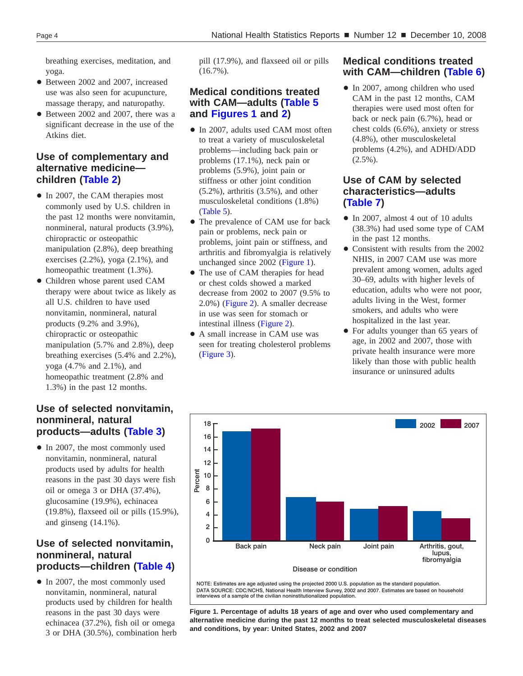breathing exercises, meditation, and yoga.

- Between 2002 and 2007, increased use was also seen for acupuncture, massage therapy, and naturopathy.
- $\bullet$  Between 2002 and 2007, there was a significant decrease in the use of the Atkins diet.

### **Use of complementary and alternative medicine children [\(Table](#page-10-0) 2)**

- In 2007, the CAM therapies most commonly used by U.S. children in the past 12 months were nonvitamin, nonmineral, natural products (3.9%), chiropractic or osteopathic manipulation (2.8%), deep breathing exercises (2.2%), yoga (2.1%), and homeopathic treatment  $(1.3\%)$ .
- Children whose parent used CAM therapy were about twice as likely as all U.S. children to have used nonvitamin, nonmineral, natural products (9.2% and 3.9%), chiropractic or osteopathic manipulation (5.7% and 2.8%), deep breathing exercises (5.4% and 2.2%), yoga (4.7% and 2.1%), and homeopathic treatment (2.8% and 1.3%) in the past 12 months.

### **Use of selected nonvitamin, nonmineral, natural products—adults [\(Table](#page-11-0) 3)**

• In 2007, the most commonly used nonvitamin, nonmineral, natural products used by adults for health reasons in the past 30 days were fish oil or omega 3 or DHA (37.4%), glucosamine (19.9%), echinacea (19.8%), flaxseed oil or pills (15.9%), and ginseng (14.1%).

### **Use of selected nonvitamin, nonmineral, natural products—children [\(Table](#page-11-0) 4)**

• In 2007, the most commonly used nonvitamin, nonmineral, natural products used by children for health reasons in the past 30 days were echinacea (37.2%), fish oil or omega 3 or DHA (30.5%), combination herb pill (17.9%), and flaxseed oil or pills (16.7%).

### **Medical conditions treated with CAM—adults [\(Table](#page-12-0) 5 and Figures 1 and [2\)](#page-4-0)**

- In 2007, adults used CAM most often to treat a variety of musculoskeletal problems—including back pain or problems (17.1%), neck pain or problems (5.9%), joint pain or stiffness or other joint condition (5.2%), arthritis (3.5%), and other musculoskeletal conditions (1.8%) [\(Table](#page-12-0) 5).
- The prevalence of CAM use for back pain or problems, neck pain or problems, joint pain or stiffness, and arthritis and fibromyalgia is relatively unchanged since 2002 (Figure 1).
- The use of CAM therapies for head or chest colds showed a marked decrease from 2002 to 2007 (9.5% to 2.0%) [\(Figure](#page-4-0) 2). A smaller decrease in use was seen for stomach or intestinal illness [\(Figure](#page-4-0) 2).
- A small increase in CAM use was seen for treating cholesterol problems [\(Figure](#page-4-0) 3).

### **Medical conditions treated with CAM—children [\(Table](#page-12-0) 6)**

 $\bullet$  In 2007, among children who used CAM in the past 12 months, CAM therapies were used most often for back or neck pain (6.7%), head or chest colds (6.6%), anxiety or stress (4.8%), other musculoskeletal problems (4.2%), and ADHD/ADD (2.5%).

### **Use of CAM by selected characteristics—adults [\(Table](#page-13-0) 7)**

- $\bullet$  In 2007, almost 4 out of 10 adults (38.3%) had used some type of CAM in the past 12 months.
- $\bullet$  Consistent with results from the 2002 NHIS, in 2007 CAM use was more prevalent among women, adults aged 30–69, adults with higher levels of education, adults who were not poor, adults living in the West, former smokers, and adults who were hospitalized in the last year.
- For adults younger than 65 years of age, in 2002 and 2007, those with private health insurance were more likely than those with public health insurance or uninsured adults



interviews of a sample of the civilian noninstitutionalized population.

**Figure 1. Percentage of adults 18 years of age and over who used complementary and alternative medicine during the past 12 months to treat selected musculoskeletal diseases and conditions, by year: United States, 2002 and 2007**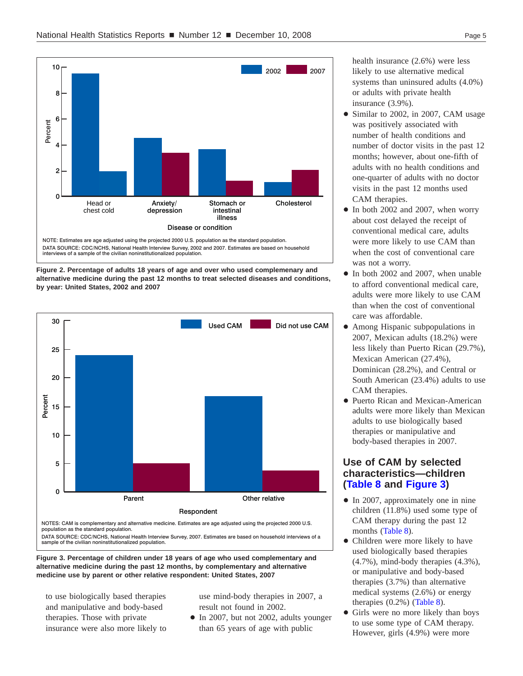<span id="page-4-0"></span>

DATA SOURCE: CDC/NCHS, National Health Interview Survey, 2002 and 2007. Estimates are based on household interviews of a sample of the civilian noninstitutionalized population.





NOTES: CAM is complementary and alternative medicine. Estimates are age adjusted using the projected 2000 U.S. population as the standard population. DATA SOURCE: CDC/NCHS, National Health Interview Survey, 2007. Estimates are based on household interviews of a<br>sample of the civilian noninstitutionalized population.

**Figure 3. Percentage of children under 18 years of age who used complementary and alternative medicine during the past 12 months, by complementary and alternative medicine use by parent or other relative respondent: United States, 2007**

to use biologically based therapies and manipulative and body-based therapies. Those with private insurance were also more likely to use mind-body therapies in 2007, a result not found in 2002.

 $\bullet$  In 2007, but not 2002, adults younger than 65 years of age with public

health insurance (2.6%) were less likely to use alternative medical systems than uninsured adults (4.0%) or adults with private health insurance (3.9%).

- Similar to 2002, in 2007, CAM usage was positively associated with number of health conditions and number of doctor visits in the past 12 months; however, about one-fifth of adults with no health conditions and one-quarter of adults with no doctor visits in the past 12 months used CAM therapies.
- $\bullet$  In both 2002 and 2007, when worry about cost delayed the receipt of conventional medical care, adults were more likely to use CAM than when the cost of conventional care was not a worry.
- $\bullet$  In both 2002 and 2007, when unable to afford conventional medical care, adults were more likely to use CAM than when the cost of conventional care was affordable.
- Among Hispanic subpopulations in 2007, Mexican adults (18.2%) were less likely than Puerto Rican (29.7%), Mexican American (27.4%), Dominican (28.2%), and Central or South American (23.4%) adults to use CAM therapies.
- Puerto Rican and Mexican-American adults were more likely than Mexican adults to use biologically based therapies or manipulative and body-based therapies in 2007.

### **Use of CAM by selected characteristics—children [\(Table](#page-15-0) 8 and Figure 3)**

- In 2007, approximately one in nine children (11.8%) used some type of CAM therapy during the past 12 months [\(Table](#page-15-0) 8).
- Children were more likely to have used biologically based therapies (4.7%), mind-body therapies (4.3%), or manipulative and body-based therapies (3.7%) than alternative medical systems (2.6%) or energy therapies (0.2%) [\(Table](#page-15-0) 8).
- Girls were no more likely than boys to use some type of CAM therapy. However, girls (4.9%) were more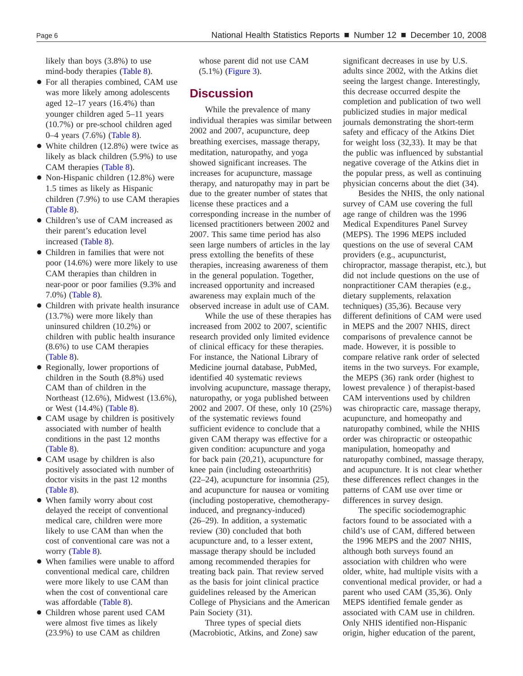likely than boys (3.8%) to use mind-body therapies [\(Table](#page-15-0) 8).

- For all therapies combined, CAM use was more likely among adolescents aged 12–17 years (16.4%) than younger children aged 5–11 years (10.7%) or pre-school children aged 0–4 years (7.6%) [\(Table](#page-15-0) 8).
- $\bullet$  White children (12.8%) were twice as likely as black children (5.9%) to use CAM therapies [\(Table](#page-15-0) 8).
- $\bullet$  Non-Hispanic children (12.8%) were 1.5 times as likely as Hispanic children (7.9%) to use CAM therapies [\(Table](#page-15-0) 8).
- Children's use of CAM increased as their parent's education level increased [\(Table](#page-15-0) 8).
- Children in families that were not poor (14.6%) were more likely to use CAM therapies than children in near-poor or poor families (9.3% and 7.0%) [\(Table](#page-15-0) 8).
- Children with private health insurance (13.7%) were more likely than uninsured children (10.2%) or children with public health insurance (8.6%) to use CAM therapies [\(Table](#page-15-0) 8).
- Regionally, lower proportions of children in the South (8.8%) used CAM than of children in the Northeast (12.6%), Midwest (13.6%), or West (14.4%) [\(Table](#page-15-0) 8).
- CAM usage by children is positively associated with number of health conditions in the past 12 months [\(Table](#page-15-0) 8).
- CAM usage by children is also positively associated with number of doctor visits in the past 12 months [\(Table](#page-15-0) 8).
- When family worry about cost delayed the receipt of conventional medical care, children were more likely to use CAM than when the cost of conventional care was not a worry [\(Table](#page-15-0) 8).
- When families were unable to afford conventional medical care, children were more likely to use CAM than when the cost of conventional care was affordable [\(Table](#page-15-0) 8).
- Children whose parent used CAM were almost five times as likely (23.9%) to use CAM as children

whose parent did not use CAM (5.1%) [\(Figure](#page-4-0) 3).

# **Discussion**

While the prevalence of many individual therapies was similar between 2002 and 2007, acupuncture, deep breathing exercises, massage therapy, meditation, naturopathy, and yoga showed significant increases. The increases for acupuncture, massage therapy, and naturopathy may in part be due to the greater number of states that license these practices and a corresponding increase in the number of licensed practitioners between 2002 and 2007. This same time period has also seen large numbers of articles in the lay press extolling the benefits of these therapies, increasing awareness of them in the general population. Together, increased opportunity and increased awareness may explain much of the observed increase in adult use of CAM.

While the use of these therapies has increased from 2002 to 2007, scientific research provided only limited evidence of clinical efficacy for these therapies. For instance, the National Library of Medicine journal database, PubMed, identified 40 systematic reviews involving acupuncture, massage therapy, naturopathy, or yoga published between 2002 and 2007. Of these, only 10 (25%) of the systematic reviews found sufficient evidence to conclude that a given CAM therapy was effective for a given condition: acupuncture and yoga for back pain (20,21), acupuncture for knee pain (including osteoarthritis) (22–24), acupuncture for insomnia (25), and acupuncture for nausea or vomiting (including postoperative, chemotherapyinduced, and pregnancy-induced) (26–29). In addition, a systematic review (30) concluded that both acupuncture and, to a lesser extent, massage therapy should be included among recommended therapies for treating back pain. That review served as the basis for joint clinical practice guidelines released by the American College of Physicians and the American Pain Society (31).

Three types of special diets (Macrobiotic, Atkins, and Zone) saw

significant decreases in use by U.S. adults since 2002, with the Atkins diet seeing the largest change. Interestingly, this decrease occurred despite the completion and publication of two well publicized studies in major medical journals demonstrating the short-term safety and efficacy of the Atkins Diet for weight loss (32,33). It may be that the public was influenced by substantial negative coverage of the Atkins diet in the popular press, as well as continuing physician concerns about the diet (34).

Besides the NHIS, the only national survey of CAM use covering the full age range of children was the 1996 Medical Expenditures Panel Survey (MEPS). The 1996 MEPS included questions on the use of several CAM providers (e.g., acupuncturist, chiropractor, massage therapist, etc.), but did not include questions on the use of nonpractitioner CAM therapies (e.g., dietary supplements, relaxation techniques) (35,36). Because very different definitions of CAM were used in MEPS and the 2007 NHIS, direct comparisons of prevalence cannot be made. However, it is possible to compare relative rank order of selected items in the two surveys. For example, the MEPS (36) rank order (highest to lowest prevalence ) of therapist-based CAM interventions used by children was chiropractic care, massage therapy, acupuncture, and homeopathy and naturopathy combined, while the NHIS order was chiropractic or osteopathic manipulation, homeopathy and naturopathy combined, massage therapy, and acupuncture. It is not clear whether these differences reflect changes in the patterns of CAM use over time or differences in survey design.

The specific sociodemographic factors found to be associated with a child's use of CAM, differed between the 1996 MEPS and the 2007 NHIS, although both surveys found an association with children who were older, white, had multiple visits with a conventional medical provider, or had a parent who used CAM (35,36). Only MEPS identified female gender as associated with CAM use in children. Only NHIS identified non-Hispanic origin, higher education of the parent,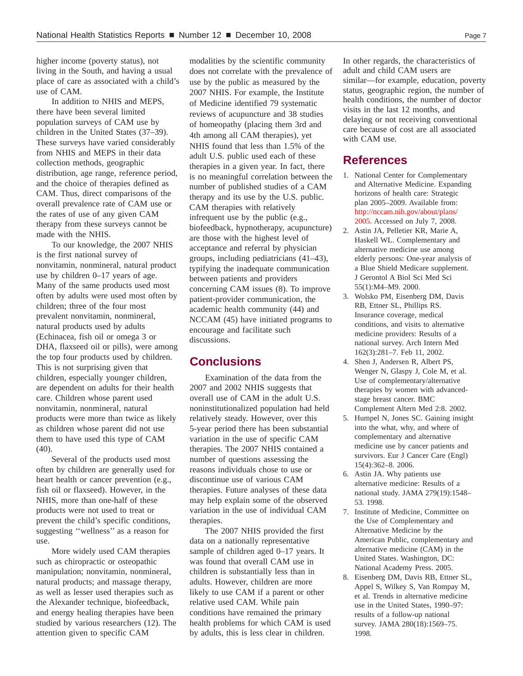higher income (poverty status), not living in the South, and having a usual place of care as associated with a child's use of CAM.

In addition to NHIS and MEPS, there have been several limited population surveys of CAM use by children in the United States (37–39). These surveys have varied considerably from NHIS and MEPS in their data collection methods, geographic distribution, age range, reference period, and the choice of therapies defined as CAM. Thus, direct comparisons of the overall prevalence rate of CAM use or the rates of use of any given CAM therapy from these surveys cannot be made with the NHIS.

To our knowledge, the 2007 NHIS is the first national survey of nonvitamin, nonmineral, natural product use by children 0–17 years of age. Many of the same products used most often by adults were used most often by children; three of the four most prevalent nonvitamin, nonmineral, natural products used by adults (Echinacea, fish oil or omega 3 or DHA, flaxseed oil or pills), were among the top four products used by children. This is not surprising given that children, especially younger children, are dependent on adults for their health care. Children whose parent used nonvitamin, nonmineral, natural products were more than twice as likely as children whose parent did not use them to have used this type of CAM  $(40)$ .

Several of the products used most often by children are generally used for heart health or cancer prevention (e.g., fish oil or flaxseed). However, in the NHIS, more than one-half of these products were not used to treat or prevent the child's specific conditions, suggesting ''wellness'' as a reason for use.

More widely used CAM therapies such as chiropractic or osteopathic manipulation; nonvitamin, nonmineral, natural products; and massage therapy, as well as lesser used therapies such as the Alexander technique, biofeedback, and energy healing therapies have been studied by various researchers (12). The attention given to specific CAM

modalities by the scientific community does not correlate with the prevalence of use by the public as measured by the 2007 NHIS. For example, the Institute of Medicine identified 79 systematic reviews of acupuncture and 38 studies of homeopathy (placing them 3rd and 4th among all CAM therapies), yet NHIS found that less than 1.5% of the adult U.S. public used each of these therapies in a given year. In fact, there is no meaningful correlation between the number of published studies of a CAM therapy and its use by the U.S. public. CAM therapies with relatively infrequent use by the public (e.g., biofeedback, hypnotherapy, acupuncture) are those with the highest level of acceptance and referral by physician groups, including pediatricians (41–43), typifying the inadequate communication between patients and providers concerning CAM issues (8). To improve patient-provider communication, the academic health community (44) and NCCAM (45) have initiated programs to encourage and facilitate such discussions.

### **Conclusions**

Examination of the data from the 2007 and 2002 NHIS suggests that overall use of CAM in the adult U.S. noninstitutionalized population had held relatively steady. However, over this 5-year period there has been substantial variation in the use of specific CAM therapies. The 2007 NHIS contained a number of questions assessing the reasons individuals chose to use or discontinue use of various CAM therapies. Future analyses of these data may help explain some of the observed variation in the use of individual CAM therapies.

The 2007 NHIS provided the first data on a nationally representative sample of children aged 0–17 years. It was found that overall CAM use in children is substantially less than in adults. However, children are more likely to use CAM if a parent or other relative used CAM. While pain conditions have remained the primary health problems for which CAM is used by adults, this is less clear in children.

In other regards, the characteristics of adult and child CAM users are similar—for example, education, poverty status, geographic region, the number of health conditions, the number of doctor visits in the last 12 months, and delaying or not receiving conventional care because of cost are all associated with CAM use.

### **References**

- 1. National Center for Complementary and Alternative Medicine. Expanding horizons of health care: Strategic plan 2005–2009. Available from: [http://nccam.nih.gov/about/plans/](http://nccam.nih.gov/about/plans/2005) 2005. Accessed on July 7, 2008.
- 2. Astin JA, Pelletier KR, Marie A, Haskell WL. Complementary and alternative medicine use among elderly persons: One-year analysis of a Blue Shield Medicare supplement. J Gerontol A Biol Sci Med Sci 55(1):M4–M9. 2000.
- 3. Wolsko PM, Eisenberg DM, Davis RB, Ettner SL, Phillips RS. Insurance coverage, medical conditions, and visits to alternative medicine providers: Results of a national survey. Arch Intern Med 162(3):281–7. Feb 11, 2002.
- 4. Shen J, Andersen R, Albert PS, Wenger N, Glaspy J, Cole M, et al. Use of complementary/alternative therapies by women with advancedstage breast cancer. BMC Complement Altern Med 2:8. 2002.
- 5. Humpel N, Jones SC. Gaining insight into the what, why, and where of complementary and alternative medicine use by cancer patients and survivors. Eur J Cancer Care (Engl) 15(4):362–8. 2006.
- 6. Astin JA. Why patients use alternative medicine: Results of a national study. JAMA 279(19):1548– 53. 1998.
- 7. Institute of Medicine, Committee on the Use of Complementary and Alternative Medicine by the American Public, complementary and alternative medicine (CAM) in the United States. Washington, DC: National Academy Press. 2005.
- 8. Eisenberg DM, Davis RB, Ettner SL, Appel S, Wilkey S, Van Rompay M, et al. Trends in alternative medicine use in the United States, 1990–97: results of a follow-up national survey. JAMA 280(18):1569–75. 1998.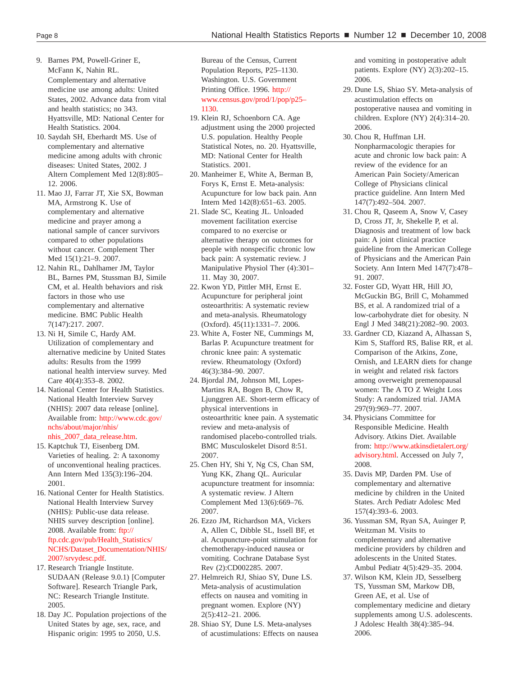- 9. Barnes PM, Powell-Griner E, McFann K, Nahin RL. Complementary and alternative medicine use among adults: United States, 2002. Advance data from vital and health statistics; no 343. Hyattsville, MD: National Center for Health Statistics. 2004.
- 10. Saydah SH, Eberhardt MS. Use of complementary and alternative medicine among adults with chronic diseases: United States, 2002. J Altern Complement Med 12(8):805– 12. 2006.
- 11. Mao JJ, Farrar JT, Xie SX, Bowman MA, Armstrong K. Use of complementary and alternative medicine and prayer among a national sample of cancer survivors compared to other populations without cancer. Complement Ther Med 15(1):21–9. 2007.
- 12. Nahin RL, Dahlhamer JM, Taylor BL, Barnes PM, Stussman BJ, Simile CM, et al. Health behaviors and risk factors in those who use complementary and alternative medicine. BMC Public Health 7(147):217. 2007.
- 13. Ni H, Simile C, Hardy AM. Utilization of complementary and alternative medicine by United States adults: Results from the 1999 national health interview survey. Med Care 40(4):353–8. 2002.
- 14. National Center for Health Statistics. National Health Interview Survey (NHIS): 2007 data release [online]. Available from: http://www.cdc.gov/ nchs/about/major/nhis/ [nhis\\_2007\\_data\\_release.htm.](http://www.cdc.gov/nchs/about/major/nhis/nhis_2007_data_release.htm)
- 15. Kaptchuk TJ, Eisenberg DM. Varieties of healing. 2: A taxonomy of unconventional healing practices. Ann Intern Med 135(3):196–204. 2001.
- 16. National Center for Health Statistics. National Health Interview Survey (NHIS): Public-use data release. NHIS survey description [online]. 2008. Available from: ftp:// ftp.cdc.gov/pub/Health\_Statistics/ [NCHS/Dataset\\_Documentation/NHIS/](ftp://ftp.cdc.gov/pub/Health_Statistics/NCHS/Dataset_Documentation/NHIS/2007/srvydesc.pdf) 2007/srvydesc.pdf.
- 17. Research Triangle Institute. SUDAAN (Release 9.0.1) [Computer Software]. Research Triangle Park, NC: Research Triangle Institute. 2005.
- 18. Day JC. Population projections of the United States by age, sex, race, and Hispanic origin: 1995 to 2050, U.S.

Bureau of the Census, Current Population Reports, P25–1130. Washington. U.S. Government Printing Office. 1996. http:// [www.census.gov/prod/1/pop/p25–](http://www.census.gov/prod/1/pop/p25-1130) 1130.

- 19. Klein RJ, Schoenborn CA. Age adjustment using the 2000 projected U.S. population. Healthy People Statistical Notes, no. 20. Hyattsville, MD: National Center for Health Statistics. 2001.
- 20. Manheimer E, White A, Berman B, Forys K, Ernst E. Meta-analysis: Acupuncture for low back pain. Ann Intern Med 142(8):651–63. 2005.
- 21. Slade SC, Keating JL. Unloaded movement facilitation exercise compared to no exercise or alternative therapy on outcomes for people with nonspecific chronic low back pain: A systematic review. J Manipulative Physiol Ther (4):301– 11. May 30, 2007.
- 22. Kwon YD, Pittler MH, Ernst E. Acupuncture for peripheral joint osteoarthritis: A systematic review and meta-analysis. Rheumatology (Oxford). 45(11):1331–7. 2006.
- 23. White A, Foster NE, Cummings M, Barlas P. Acupuncture treatment for chronic knee pain: A systematic review. Rheumatology (Oxford) 46(3):384–90. 2007.
- 24. Bjordal JM, Johnson MI, Lopes-Martins RA, Bogen B, Chow R, Ljunggren AE. Short-term efficacy of physical interventions in osteoarthritic knee pain. A systematic review and meta-analysis of randomised placebo-controlled trials. BMC Musculoskelet Disord 8:51. 2007.
- 25. Chen HY, Shi Y, Ng CS, Chan SM, Yung KK, Zhang QL. Auricular acupuncture treatment for insomnia: A systematic review. J Altern Complement Med 13(6):669–76. 2007.
- 26. Ezzo JM, Richardson MA, Vickers A, Allen C, Dibble SL, Issell BF, et al. Acupuncture-point stimulation for chemotherapy-induced nausea or vomiting. Cochrane Database Syst Rev (2):CD002285. 2007.
- 27. Helmreich RJ, Shiao SY, Dune LS. Meta-analysis of acustimulation effects on nausea and vomiting in pregnant women. Explore (NY) 2(5):412–21. 2006.
- 28. Shiao SY, Dune LS. Meta-analyses of acustimulations: Effects on nausea

and vomiting in postoperative adult patients. Explore (NY) 2(3):202–15. 2006.

- 29. Dune LS, Shiao SY. Meta-analysis of acustimulation effects on postoperative nausea and vomiting in children. Explore (NY) 2(4):314–20. 2006.
- 30. Chou R, Huffman LH. Nonpharmacologic therapies for acute and chronic low back pain: A review of the evidence for an American Pain Society/American College of Physicians clinical practice guideline. Ann Intern Med 147(7):492–504. 2007.
- 31. Chou R, Qaseem A, Snow V, Casey D, Cross JT, Jr, Shekelle P, et al. Diagnosis and treatment of low back pain: A joint clinical practice guideline from the American College of Physicians and the American Pain Society. Ann Intern Med 147(7):478– 91. 2007.
- 32. Foster GD, Wyatt HR, Hill JO, McGuckin BG, Brill C, Mohammed BS, et al. A randomized trial of a low-carbohydrate diet for obesity. N Engl J Med 348(21):2082–90. 2003.
- 33. Gardner CD, Kiazand A, Alhassan S, Kim S, Stafford RS, Balise RR, et al. Comparison of the Atkins, Zone, Ornish, and LEARN diets for change in weight and related risk factors among overweight premenopausal women: The A TO Z Weight Loss Study: A randomized trial. JAMA 297(9):969–77. 2007.
- 34. Physicians Committee for Responsible Medicine. Health Advisory. Atkins Diet. Available from: [http://www.atkinsdietalert.org/](http://www.atkinsdietalert.org/advisory.html) advisory.html. Accessed on July 7, 2008.
- 35. Davis MP, Darden PM. Use of complementary and alternative medicine by children in the United States. Arch Pediatr Adolesc Med 157(4):393–6. 2003.
- 36. Yussman SM, Ryan SA, Auinger P, Weitzman M. Visits to complementary and alternative medicine providers by children and adolescents in the United States. Ambul Pediatr 4(5):429–35. 2004.
- 37. Wilson KM, Klein JD, Sesselberg TS, Yussman SM, Markow DB, Green AE, et al. Use of complementary medicine and dietary supplements among U.S. adolescents. J Adolesc Health 38(4):385–94. 2006.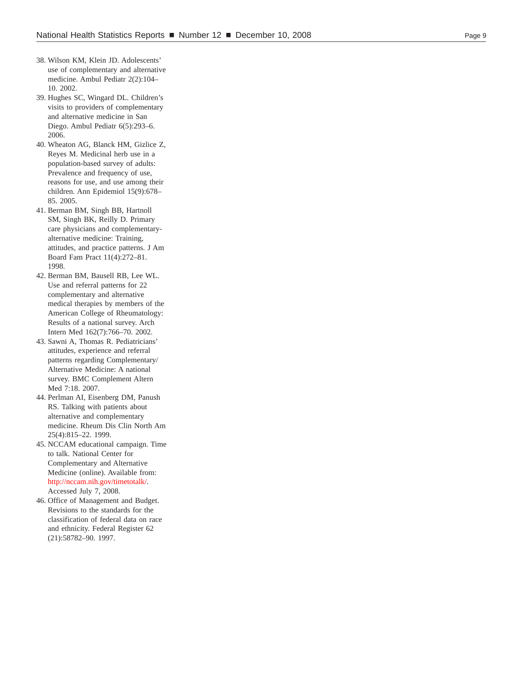- 38. Wilson KM, Klein JD. Adolescents' use of complementary and alternative medicine. Ambul Pediatr 2(2):104– 10. 2002.
- 39. Hughes SC, Wingard DL. Children's visits to providers of complementary and alternative medicine in San Diego. Ambul Pediatr 6(5):293–6. 2006.
- 40. Wheaton AG, Blanck HM, Gizlice Z, Reyes M. Medicinal herb use in a population-based survey of adults: Prevalence and frequency of use, reasons for use, and use among their children. Ann Epidemiol 15(9):678– 85. 2005.
- 41. Berman BM, Singh BB, Hartnoll SM, Singh BK, Reilly D. Primary care physicians and complementaryalternative medicine: Training, attitudes, and practice patterns. J Am Board Fam Pract 11(4):272–81. 1998.
- 42. Berman BM, Bausell RB, Lee WL. Use and referral patterns for 22 complementary and alternative medical therapies by members of the American College of Rheumatology: Results of a national survey. Arch Intern Med 162(7):766–70. 2002.
- 43. Sawni A, Thomas R. Pediatricians' attitudes, experience and referral patterns regarding Complementary/ Alternative Medicine: A national survey. BMC Complement Altern Med 7:18. 2007.
- 44. Perlman AI, Eisenberg DM, Panush RS. Talking with patients about alternative and complementary medicine. Rheum Dis Clin North Am 25(4):815–22. 1999.
- 45. NCCAM educational campaign. Time to talk. National Center for Complementary and Alternative Medicine (online). Available from: <http://nccam.nih.gov/timetotalk/> . Accessed July 7, 2008.
- 46. Office of Management and Budget. Revisions to the standards for the classification of federal data on race and ethnicity. Federal Register 62 (21):58782–90. 1997.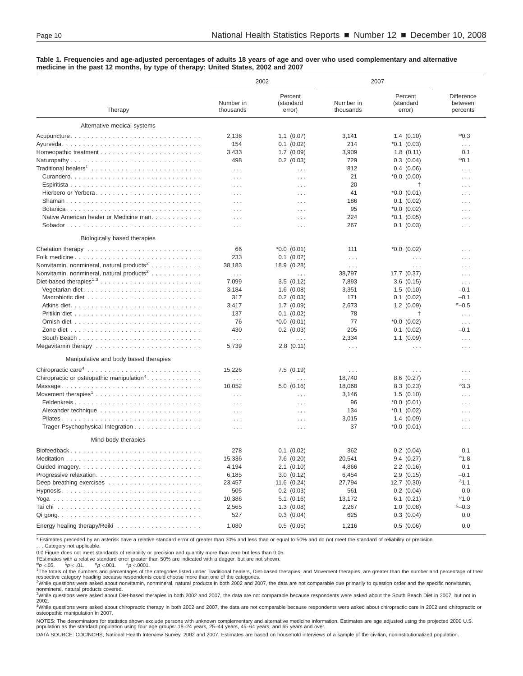#### <span id="page-9-0"></span>Table 1. Frequencies and age-adjusted percentages of adults 18 years of age and over who used complementary and alternative **medicine in the past 12 months, by type of therapy: United States, 2002 and 2007**

|                                                                      |                        | 2002                           | 2007                   |                                |                                          |
|----------------------------------------------------------------------|------------------------|--------------------------------|------------------------|--------------------------------|------------------------------------------|
| Therapy                                                              | Number in<br>thousands | Percent<br>(standard<br>error) | Number in<br>thousands | Percent<br>(standard<br>error) | <b>Difference</b><br>between<br>percents |
| Alternative medical systems                                          |                        |                                |                        |                                |                                          |
|                                                                      | 2,136                  | $1.1$ (0.07)                   | 3,141                  | 1.4(0.10)                      | $^{\omega}0.3$                           |
|                                                                      | 154                    | $0.1$ $(0.02)$                 | 214                    | *0.1 (0.03)                    | $\cdots$                                 |
|                                                                      | 3,433                  | 1.7(0.09)                      | 3,909                  | 1.8(0.11)                      | 0.1                                      |
| Naturopathy                                                          | 498                    | $0.2$ $(0.03)$                 | 729                    | 0.3(0.04)                      | $^{\omega}$ 0.1                          |
|                                                                      | $\ldots$ .             | $\ldots$ .                     | 812                    | 0.4(0.06)                      | $\ldots$                                 |
|                                                                      | $\cdots$               | $\cdots$                       | 21                     | *0.0 (0.00)                    | $\sim$ $\sim$ $\sim$                     |
|                                                                      | $\cdots$               | $\cdots$                       | 20                     | Ť                              | $\cdots$                                 |
| Hierbero or Yerbera                                                  | $\cdots$               | $\cdots$                       | 41                     | $*0.0(0.01)$                   | $\sim$ $\sim$ $\sim$                     |
|                                                                      | $\cdots$               | $\cdots$                       | 186                    | 0.1(0.02)                      | $\cdots$                                 |
|                                                                      | $\cdots$               | $\cdots$                       | 95                     | $*0.0(0.02)$                   | $\sim$ $\sim$ $\sim$                     |
| Native American healer or Medicine man.                              | $\cdots$               | $\ldots$ .                     | 224                    | $*0.1(0.05)$                   | $\ldots$ .                               |
|                                                                      | $\cdots$               | $\cdots$                       | 267                    | $0.1 \ (0.03)$                 | $\cdots$                                 |
| Biologically based therapies                                         |                        |                                |                        |                                |                                          |
|                                                                      |                        |                                |                        |                                |                                          |
|                                                                      | 66                     | $*0.0(0.01)$                   | 111                    | *0.0 (0.02)                    | $\ldots$                                 |
|                                                                      | 233                    | $0.1$ (0.02)                   | $\ldots$ .             | $\cdots$                       | $\cdots$                                 |
| Nonvitamin, nonmineral, natural products <sup>2</sup>                | 38,183                 | 18.9 (0.28)                    | $\cdots$               | $\cdots$                       | $\cdots$                                 |
| Nonvitamin, nonmineral, natural products <sup>2</sup>                | $\sim$ $\sim$ $\sim$   | $\cdots$                       | 38,797                 | 17.7 (0.37)                    | $\cdots$                                 |
|                                                                      | 7,099                  | 3.5(0.12)                      | 7,893                  | 3.6(0.15)                      | $\cdots$                                 |
|                                                                      | 3,184                  | 1.6(0.08)                      | 3,351                  | 1.5(0.10)                      | $-0.1$                                   |
|                                                                      | 317                    | $0.2$ $(0.03)$                 | 171                    | 0.1 (0.02)                     | $-0.1$                                   |
|                                                                      | 3,417                  | 1.7(0.09)                      | 2,673                  | 1.2(0.09)                      | $^{\pi}$ -0.5                            |
|                                                                      | 137                    | 0.1(0.02)                      | 78                     | $\mathsf{t}$                   | $\sim$ $\sim$ $\sim$                     |
|                                                                      | 76                     | $*0.0(0.01)$                   | 77                     | $*0.0(0.02)$                   | $\sim$ $\sim$ $\sim$                     |
|                                                                      | 430                    | $0.2$ (0.03)                   | 205                    | 0.1 (0.02)                     | $-0.1$                                   |
|                                                                      | $\cdots$               | $\cdots$                       | 2,334                  | 1.1(0.09)                      | $\sim$ $\sim$ $\sim$                     |
|                                                                      | 5,739                  | 2.8(0.11)                      | $\sim$ $\sim$ $\sim$   | $\sim$ $\sim$ $\sim$           | $\cdots$                                 |
| Manipulative and body based therapies                                |                        |                                |                        |                                |                                          |
|                                                                      | 15,226                 | 7.5(0.19)                      | $\sim$ $\sim$ $\sim$   | $\cdots$                       | $\cdots$                                 |
| Chiropractic or osteopathic manipulation <sup>4</sup> .              | $\cdots$               | $\cdots$                       | 18,740                 | 8.6(0.27)                      | $\cdots$                                 |
|                                                                      | 10,052                 | 5.0(0.16)                      | 18,068                 | 8.3(0.23)                      | $\pi$ 3.3                                |
|                                                                      | $\sim$ $\sim$ $\sim$   | $\ldots$ .                     | 3,146                  | 1.5(0.10)                      | $\sim$ $\sim$ $\sim$                     |
| Feldenkreis                                                          | $\cdots$               | $\cdots$                       | 96                     | *0.0 (0.01)                    | $\sim$ $\sim$ $\sim$                     |
|                                                                      | $\cdots$               | $\cdots$                       | 134                    | $*0.1(0.02)$                   | $\cdots$                                 |
|                                                                      | $\cdots$               | $\cdots$                       | 3,015                  | 1.4(0.09)                      | $\cdots$                                 |
| Trager Psychophysical Integration                                    | $\cdots$               | $\cdots$                       | 37                     | $*0.0(0.01)$                   | $\cdots$                                 |
| Mind-body therapies                                                  |                        |                                |                        |                                |                                          |
|                                                                      |                        |                                |                        |                                |                                          |
| Biofeedback                                                          | 278                    | $0.1$ $(0.02)$                 | 362                    | $0.2$ $(0.04)$                 | 0.1                                      |
|                                                                      | 15,336                 | 7.6 (0.20)                     | 20,541                 | 9.4(0.27)                      | $\pi$ 1.8                                |
|                                                                      | 4,194                  | $2.1$ (0.10)                   | 4,866                  | $2.2$ $(0.16)$                 | 0.1                                      |
|                                                                      | 6,185                  | 3.0(0.12)                      | 6,454                  | 2.9(0.15)                      | $-0.1$                                   |
| Deep breathing exercises $\ldots \ldots \ldots \ldots \ldots \ldots$ | 23,457                 | 11.6(0.24)                     | 27,794                 | 12.7(0.30)                     | 51.1                                     |
|                                                                      | 505                    | $0.2$ (0.03)                   | 561                    | $0.2$ $(0.04)$                 | 0.0                                      |
|                                                                      | 10,386                 | 5.1(0.16)                      | 13,172                 | 6.1(0.21)                      | 4.0                                      |
|                                                                      | 2,565                  | 1.3(0.08)                      | 2,267                  | 1.0(0.08)                      | $-0.3$                                   |
|                                                                      | 527                    | 0.3(0.04)                      | 625                    | 0.3(0.04)                      | 0.0                                      |
|                                                                      | 1,080                  | 0.5(0.05)                      | 1,216                  | 0.5(0.06)                      | 0.0                                      |

\* Estimates preceded by an asterisk have a relative standard error of greater than 30% and less than or equal to 50% and do not meet the standard of reliability or precision.

. Category not applicable.

0.0 Figure does not meet standards of reliability or precision and quantity more than zero but less than 0.05.

†Estimates with a relative standard error greater than 50% are indicated with a dagger, but are not shown.

†Estimates with a relative standard error greater than 50% are indicated with a dagger, but are not shown.<br><sup>ம</sup>ற <.05. క்ற < .01. Wp <.001. நிற <.0001.<br>'The totals of the numbers and percentages of the categories listed un

<sup>2</sup>While questions were asked about nonvitamin, nonmineral, natural products in both 2002 and 2007, the data are not comparable due primarily to question order and the specific nonvitamin, nonmineral, natural products covered. nonmineral, natural products covered.<br><sup>3</sup>While questions were asked about Diet-based therapies in both 2002 and 2007, the data are not comparable because respondents were asked about the South Beach Diet in 2007, but not i

<sup>3</sup>While questions were asked about Diet-based therapies in both 2002 and 2007, the data are not comparable because respondents were asked about the South Beach Diet in 2007, but not in<br>2002.<br><sup>4</sup>While questions were asked

NOTES: The denominators for statistics shown exclude persons with unknown complementary and alternative medicine information. Estimates are age adjusted using the projected 2000 U.S. NOTES: The denominators for statistics shown exclude persons with unknown complementary and alternative medicine information. Estimates are age adjusted using the projected 2000 U.S.<br>population as the standard population u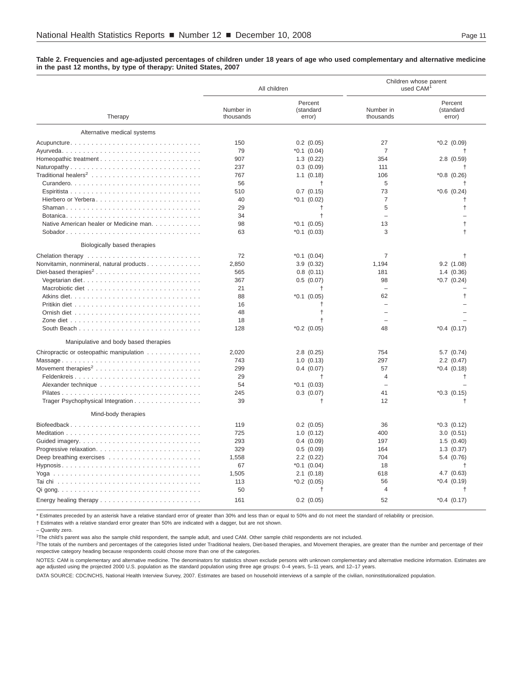<span id="page-10-0"></span>Table 2. Frequencies and age-adjusted percentages of children under 18 years of age who used complementary and alternative medicine **in the past 12 months, by type of therapy: United States, 2007**

|                                                                             |                        | All children                   |                        | Children whose parent<br>used CAM <sup>1</sup> |
|-----------------------------------------------------------------------------|------------------------|--------------------------------|------------------------|------------------------------------------------|
| Therapy                                                                     | Number in<br>thousands | Percent<br>(standard<br>error) | Number in<br>thousands | Percent<br>(standard<br>error)                 |
| Alternative medical systems                                                 |                        |                                |                        |                                                |
|                                                                             | 150                    | $0.2$ $(0.05)$                 | 27                     | $*0.2$ (0.09)                                  |
|                                                                             | 79                     | $*0.1$ (0.04)                  | 7                      | t                                              |
|                                                                             | 907                    | 1.3(0.22)                      | 354                    | 2.8(0.59)                                      |
| Naturopathy                                                                 | 237                    | 0.3(0.09)                      | 111                    | t                                              |
|                                                                             | 767                    | $1.1$ $(0.18)$                 | 106                    | $*0.8(0.26)$                                   |
|                                                                             | 56                     | $^\dagger$                     | 5                      | t                                              |
|                                                                             | 510                    | $0.7$ $(0.15)$                 | 73                     | $*0.6$ (0.24)                                  |
| Hierbero or Yerbera                                                         | 40                     | $*0.1$ (0.02)                  | $\overline{7}$         | t                                              |
| Shaman                                                                      | 29                     | $^\dagger$                     | 5                      | t                                              |
|                                                                             | 34                     | $\ddagger$                     | $\qquad \qquad -$      |                                                |
| Native American healer or Medicine man.                                     | 98                     | $*0.1$ (0.05)                  | 13                     | $\ddagger$                                     |
|                                                                             | 63                     | $*0.1$ (0.03)                  | 3                      | t                                              |
| Biologically based therapies                                                |                        |                                |                        |                                                |
|                                                                             | 72                     | $*0.1(0.04)$                   | $\overline{7}$         | Ť                                              |
| Nonvitamin, nonmineral, natural products                                    | 2,850                  | 3.9(0.32)                      | 1,194                  | 9.2(1.08)                                      |
|                                                                             | 565                    | $0.8$ $(0.11)$                 | 181                    | 1.4(0.36)                                      |
|                                                                             | 367                    | 0.5(0.07)                      | 98                     | $*0.7$ (0.24)                                  |
|                                                                             | 21                     | $^\dagger$                     | L.                     |                                                |
|                                                                             | 88                     | $*0.1$ (0.05)                  | 62                     | t                                              |
|                                                                             | 16                     | t                              | L.                     |                                                |
|                                                                             | 48                     |                                |                        |                                                |
|                                                                             | 18                     | Ť                              | ÷                      |                                                |
|                                                                             | 128                    | $*0.2$ (0.05)                  | 48                     | $*0.4(0.17)$                                   |
| Manipulative and body based therapies                                       |                        |                                |                        |                                                |
| Chiropractic or osteopathic manipulation $\ldots \ldots \ldots$             | 2.020                  | 2.8(0.25)                      | 754                    | $5.7$ $(0.74)$                                 |
|                                                                             | 743                    | 1.0 (0.13)                     | 297                    | $2.2$ (0.47)                                   |
|                                                                             | 299                    | 0.4(0.07)                      | 57                     | $*0.4(0.18)$                                   |
| Feldenkreis                                                                 | 29                     | t                              | $\overline{4}$         | t                                              |
|                                                                             | 54                     | $*0.1$ (0.03)                  | L.                     |                                                |
|                                                                             | 245                    | $0.3$ $(0.07)$                 | 41                     | $*0.3$ (0.15)                                  |
| Trager Psychophysical Integration                                           | 39                     | $^\dagger$                     | 12                     | t                                              |
| Mind-body therapies                                                         |                        |                                |                        |                                                |
| Biofeedback                                                                 | 119                    | $0.2$ $(0.05)$                 | 36                     | $*0.3$ (0.12)                                  |
|                                                                             | 725                    | 1.0 (0.12)                     | 400                    | 3.0(0.51)                                      |
|                                                                             | 293                    | 0.4(0.09)                      | 197                    | 1.5(0.40)                                      |
|                                                                             | 329                    | 0.5(0.09)                      | 164                    | 1.3(0.37)                                      |
| Deep breathing exercises $\ldots \ldots \ldots \ldots \ldots \ldots \ldots$ | 1,558                  | 2.2(0.22)                      | 704                    | 5.4(0.76)                                      |
|                                                                             | 67                     | $*0.1(0.04)$                   | 18                     | Ť                                              |
|                                                                             | 1.505                  | 2.1(0.18)                      | 618                    | 4.7(0.63)                                      |
|                                                                             | 113                    | $*0.2$ (0.05)                  | 56                     | $*0.4(0.19)$                                   |
|                                                                             | 50                     | Ť                              | $\overline{4}$         | $^{\dagger}$                                   |
|                                                                             | 161                    | $0.2$ $(0.05)$                 | 52                     | $*0.4(0.17)$                                   |

\* Estimates preceded by an asterisk have a relative standard error of greater than 30% and less than or equal to 50% and do not meet the standard of reliability or precision.

† Estimates with a relative standard error greater than 50% are indicated with a dagger, but are not shown.

1 The child's parent was also the sample child respondent, the sample adult, and used CAM. Other sample child respondents are not included.

<sup>2</sup>The totals of the numbers and percentages of the categories listed under Traditional healers, Diet-based therapies, and Movement therapies, are greater than the number and percentage of their respective category heading because respondents could choose more than one of the categories.

NOTES: CAM is complementary and alternative medicine. The denominators for statistics shown exclude persons with unknown complementary and alternative medicine information. Estimates are age adjusted using the projected 2000 U.S. population as the standard population using three age groups: 0–4 years, 5–11 years, and 12–17 years.

<sup>–</sup> Quantity zero.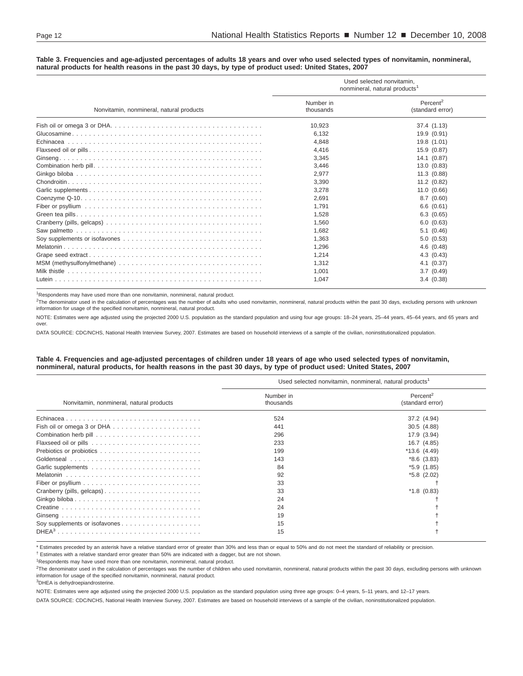#### <span id="page-11-0"></span>Table 3. Frequencies and age-adjusted percentages of adults 18 years and over who used selected types of nonvitamin, nonmineral, natural products for health reasons in the past 30 days, by type of product used: United States, 2007

|                                          | Used selected nonvitamin.<br>nonmineral, natural products <sup>1</sup> |                                          |  |  |  |
|------------------------------------------|------------------------------------------------------------------------|------------------------------------------|--|--|--|
| Nonvitamin, nonmineral, natural products | Number in<br>thousands                                                 | Percent <sup>2</sup><br>(standard error) |  |  |  |
|                                          | 10,923                                                                 | 37.4 (1.13)                              |  |  |  |
|                                          | 6.132                                                                  | 19.9 (0.91)                              |  |  |  |
|                                          | 4,848                                                                  | 19.8 (1.01)                              |  |  |  |
|                                          | 4.416                                                                  | 15.9 (0.87)                              |  |  |  |
|                                          | 3,345                                                                  | 14.1(0.87)                               |  |  |  |
|                                          | 3,446                                                                  | 13.0(0.83)                               |  |  |  |
|                                          | 2,977                                                                  | 11.3(0.88)                               |  |  |  |
|                                          | 3,390                                                                  | 11.2(0.82)                               |  |  |  |
|                                          | 3.278                                                                  | 11.0(0.66)                               |  |  |  |
|                                          | 2,691                                                                  | 8.7(0.60)                                |  |  |  |
|                                          | 1.791                                                                  | 6.6(0.61)                                |  |  |  |
|                                          | 1,528                                                                  | $6.3$ $(0.65)$                           |  |  |  |
|                                          | 1,560                                                                  | 6.0(0.63)                                |  |  |  |
|                                          | 1,682                                                                  | 5.1(0.46)                                |  |  |  |
|                                          | 1,363                                                                  | 5.0(0.53)                                |  |  |  |
|                                          | 1,296                                                                  | 4.6(0.48)                                |  |  |  |
|                                          | 1.214                                                                  | 4.3(0.43)                                |  |  |  |
|                                          | 1.312                                                                  | 4.1(0.37)                                |  |  |  |
|                                          | 1,001                                                                  | 3.7(0.49)                                |  |  |  |
|                                          | 1,047                                                                  | 3.4(0.38)                                |  |  |  |

<sup>1</sup>Respondents may have used more than one nonvitamin, nonmineral, natural product.

<sup>2</sup>The denominator used in the calculation of percentages was the number of adults who used nonvitamin, nonmineral, natural products within the past 30 days, excluding persons with unknown information for usage of the specified nonvitamin, nonmineral, natural product.

NOTE: Estimates were age adjusted using the projected 2000 U.S. population as the standard population and using four age groups: 18-24 years, 25-44 years, 45-64 years, and 65 years and over

DATA SOURCE: CDC/NCHS, National Health Interview Survey, 2007. Estimates are based on household interviews of a sample of the civilian, noninstitutionalized population.

#### Table 4. Frequencies and age-adjusted percentages of children under 18 years of age who used selected types of nonvitamin, nonmineral, natural products, for health reasons in the past 30 days, by type of product used: United States, 2007

|                                          | Used selected nonvitamin, nonmineral, natural products <sup>1</sup> |                                          |  |  |  |
|------------------------------------------|---------------------------------------------------------------------|------------------------------------------|--|--|--|
| Nonvitamin, nonmineral, natural products | Number in<br>thousands                                              | Percent <sup>2</sup><br>(standard error) |  |  |  |
|                                          | 524                                                                 | 37.2 (4.94)                              |  |  |  |
|                                          | 441                                                                 | 30.5(4.88)                               |  |  |  |
|                                          | 296                                                                 | 17.9 (3.94)                              |  |  |  |
|                                          | 233                                                                 | 16.7 (4.85)                              |  |  |  |
|                                          | 199                                                                 | $*13.6(4.49)$                            |  |  |  |
|                                          | 143                                                                 | $*8.6(3.83)$                             |  |  |  |
|                                          | 84                                                                  | $*5.9(1.85)$                             |  |  |  |
|                                          | 92                                                                  | $*5.8$ (2.02)                            |  |  |  |
|                                          | 33                                                                  |                                          |  |  |  |
|                                          | 33                                                                  | $*1.8(0.83)$                             |  |  |  |
| Ginkgo biloba                            | 24                                                                  |                                          |  |  |  |
|                                          | 24                                                                  |                                          |  |  |  |
|                                          | 19                                                                  |                                          |  |  |  |
|                                          | 15                                                                  |                                          |  |  |  |
|                                          | 15                                                                  |                                          |  |  |  |

\* Estimates preceded by an asterisk have a relative standard error of greater than 30% and less than or equal to 50% and do not meet the standard of reliability or precision.

<sup>†</sup> Estimates with a relative standard error greater than 50% are indicated with a dagger, but are not shown.

<sup>1</sup>Respondents may have used more than one nonvitamin, nonmineral, natural product.

<sup>2</sup>The denominator used in the calculation of percentages was the number of children who used nonvitamin, nonmineral, natural products within the past 30 days, excluding persons with unknown information for usage of the specified nonvitamin, nonmineral, natural product.

3 DHEA is dehydroepiandrosterine.

NOTE: Estimates were age adjusted using the projected 2000 U.S. population as the standard population using three age groups: 0–4 years, 5–11 years, and 12–17 years.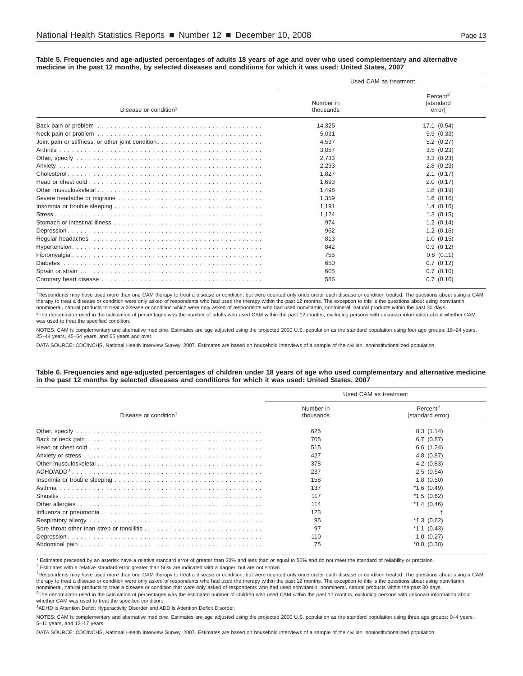#### <span id="page-12-0"></span>Table 5. Frequencies and age-adjusted percentages of adults 18 years of age and over who used complementary and alternative medicine in the past 12 months, by selected diseases and conditions for which it was used: United States, 2007

|                                   | Used CAM as treatment  |                                                     |  |
|-----------------------------------|------------------------|-----------------------------------------------------|--|
| Disease or condition <sup>1</sup> | Number in<br>thousands | Percent <sup>2</sup><br><i>(standard)</i><br>error) |  |
|                                   | 14,325                 | 17.1 (0.54)                                         |  |
|                                   | 5,031                  | 5.9(0.33)                                           |  |
|                                   | 4,537                  | 5.2(0.27)                                           |  |
|                                   | 3,057                  | 3.5(0.23)                                           |  |
|                                   | 2,733                  | 3.3(0.23)                                           |  |
|                                   | 2,293                  | 2.8(0.23)                                           |  |
|                                   | 1.827                  | 2.1(0.17)                                           |  |
|                                   | 1,693                  | 2.0(0.17)                                           |  |
|                                   | 1.498                  | 1.8(0.19)                                           |  |
|                                   | 1,359                  | 1.6(0.16)                                           |  |
|                                   | 1.191                  | 1.4(0.16)                                           |  |
|                                   | 1,124                  | 1.3(0.15)                                           |  |
|                                   | 974                    | 1.2(0.14)                                           |  |
|                                   | 962                    | 1.2(0.16)                                           |  |
|                                   | 813                    | 1.0(0.15)                                           |  |
|                                   | 842                    | 0.9(0.12)                                           |  |
|                                   | 755                    | 0.8(0.11)                                           |  |
|                                   | 650                    | 0.7(0.12)                                           |  |
|                                   | 605                    | 0.7(0.10)                                           |  |
|                                   | 586                    | $0.7$ $(0.10)$                                      |  |

<sup>1</sup>Respondents may have used more than one CAM therapy to treat a disease or condition, but were counted only once under each disease or condition treated. The questions about using a CAM therapy to treat a disease or condition were only asked of respondents who had used the therapy within the past 12 months. The exception to this is the questions about using nonvitamin, nonmineral, natural products to treat a disease or condition which were only asked of respondents who had used nonvitamin, nonmineral, natural products within the past 30 days. <sup>2</sup>The denominator used in the calculation of percentages was the number of adults who used CAM within the past 12 months, excluding persons with unknown information about whether CAM was used to treat the specified condition.

NOTES: CAM is complementary and alternative medicine. Estimates are age adjusted using the projected 2000 U.S. population as the standard population using four age groups: 18–24 years, 25–44 years, 45–64 years, and 65 years and over.

DATA SOURCE: CDC/NCHS, National Health Interview Survey, 2007. Estimates are based on household interviews of a sample of the civilian, noninstitutionalized population.

#### Table 6. Frequencies and age-adjusted percentages of children under 18 years of age who used complementary and alternative medicine in the past 12 months by selected diseases and conditions for which it was used: United States, 2007

|                                   | Used CAM as treatment  |                                          |  |  |
|-----------------------------------|------------------------|------------------------------------------|--|--|
| Disease or condition <sup>1</sup> | Number in<br>thousands | Percent <sup>2</sup><br>(standard error) |  |  |
|                                   | 625                    | 8.3(1.14)                                |  |  |
|                                   | 705                    | $6.7$ $(0.87)$                           |  |  |
|                                   | 515                    | 6.6(1.24)                                |  |  |
|                                   | 427                    | 4.8(0.87)                                |  |  |
|                                   | 378                    | 4.2(0.83)                                |  |  |
|                                   | 237                    | 2.5(0.54)                                |  |  |
|                                   | 158                    | 1.8(0.50)                                |  |  |
|                                   | 137                    | $*1.6(0.49)$                             |  |  |
|                                   | 117                    | $*1.5(0.62)$                             |  |  |
|                                   | 114                    | $*1.4(0.46)$                             |  |  |
|                                   | 123                    |                                          |  |  |
|                                   | 95                     | $*1.3(0.62)$                             |  |  |
|                                   | 97                     | $*1.1(0.43)$                             |  |  |
|                                   | 110                    | 1.0(0.27)                                |  |  |
|                                   | 75                     | $*0.8(0.30)$                             |  |  |

\* Estimates preceded by an asterisk have a relative standard error of greater than 30% and less than or equal to 50% and do not meet the standard of reliability or precision.

† Estimates with a relative standard error greater than 50% are indicated with a dagger, but are not shown.

<sup>1</sup>Respondents may have used more than one CAM therapy to treat a disease or condition, but were counted only once under each disease or condition treated. The questions about using a CAM therapy to treat a disease or condition were only asked of respondents who had used the therapy within the past 12 months. The exception to this is the questions about using nonvitamin, nonmineral, natural products to treat a disease or condition that were only asked of respondents who had used nonvitamin, nonmineral, natural products within the past 30 days.

<sup>2</sup>The denominator used in the calculation of percentages was the estimated number of children who used CAM within the past 12 months, excluding persons with unknown information about whether CAM was used to treat the specified condition.

<sup>3</sup>ADHD is Attention Deficit Hyperactivity Disorder and ADD is Attention Deficit Disorder.

NOTES: CAM is complementary and alternative medicine. Estimates are age adjusted using the projected 2000 U.S. population as the standard population using three age groups: 0-4 years, 5–11 years, and 12–17 years.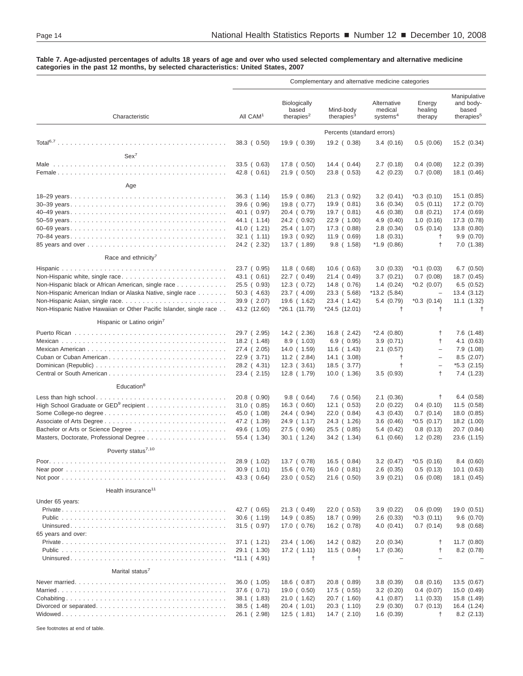#### <span id="page-13-0"></span>Table 7. Age-adjusted percentages of adults 18 years of age and over who used selected complementary and alternative medicine **categories in the past 12 months, by selected characteristics: United States, 2007**

|                                                                     | Complementary and alternative medicine categories |                                                 |                                     |                                                |                                |                                                              |
|---------------------------------------------------------------------|---------------------------------------------------|-------------------------------------------------|-------------------------------------|------------------------------------------------|--------------------------------|--------------------------------------------------------------|
| Characteristic                                                      | All CAM <sup>1</sup>                              | Biologically<br>based<br>therapies <sup>2</sup> | Mind-body<br>therapies <sup>3</sup> | Alternative<br>medical<br>systems <sup>4</sup> | Energy<br>healing<br>therapy   | Manipulative<br>and body-<br>based<br>therapies <sup>5</sup> |
|                                                                     |                                                   |                                                 | Percents (standard errors)          |                                                |                                |                                                              |
|                                                                     | 38.3 ( 0.50)                                      | 19.9 ( 0.39)                                    | 19.2 ( 0.38)                        | 3.4(0.16)                                      | 0.5(0.06)                      | 15.2 (0.34)                                                  |
| Sex <sup>7</sup>                                                    |                                                   |                                                 |                                     |                                                |                                |                                                              |
|                                                                     | 33.5 ( 0.63)                                      | 17.8 ( 0.50)                                    | 14.4(0.44)                          | 2.7(0.18)                                      | 0.4(0.08)                      | 12.2(0.39)                                                   |
|                                                                     | 42.8 ( 0.61)                                      | 21.9 ( 0.50)                                    | 23.8 ( 0.53)                        | 4.2(0.23)                                      | $0.7$ $(0.08)$                 | 18.1 (0.46)                                                  |
| Age                                                                 |                                                   |                                                 |                                     |                                                |                                |                                                              |
|                                                                     | 36.3 ( 1.14)                                      | 15.9 ( 0.86)                                    | 21.3 ( 0.92)                        | 3.2(0.41)                                      | $*0.3$ (0.10)                  | $15.1$ $(0.85)$                                              |
|                                                                     | 39.6 ( 0.96)                                      | 19.8 ( 0.77)                                    | 19.9 (0.81)                         | 3.6(0.34)                                      | 0.5(0.11)                      | 17.2 (0.70)                                                  |
|                                                                     | 40.1 ( 0.97)                                      | 20.4 ( 0.79)                                    | 19.7(0.81)                          | 4.6(0.38)                                      | $0.8$ $(0.21)$                 | 17.4 (0.69)                                                  |
|                                                                     | 44.1 ( 1.14)                                      | 24.2 ( 0.92)                                    | 22.9 ( 1.00)                        | 4.9(0.40)                                      | 1.0(0.16)                      | 17.3 (0.78)                                                  |
|                                                                     | 41.0 ( 1.21)                                      | 25.4 ( 1.07)                                    | 17.3 ( 0.88)                        | 2.8(0.34)                                      | 0.5(0.14)                      | 13.8 (0.80)                                                  |
|                                                                     | 32.1 ( 1.11)                                      | 19.3 ( 0.92)                                    | 11.9(0.69)                          | 1.8(0.31)                                      | Ť                              | 9.9(0.70)                                                    |
|                                                                     | 24.2 ( 2.32)                                      | 13.7 ( 1.89)                                    | 9.8(1.58)                           | *1.9 (0.86)                                    | $^{\dagger}$                   | 7.0(1.38)                                                    |
| Race and ethnicity <sup>7</sup>                                     |                                                   |                                                 |                                     |                                                |                                |                                                              |
|                                                                     | 23.7 ( 0.95)                                      | $11.8$ ( $0.68$ )                               | $10.6$ ( $0.63$ )                   | 3.0(0.33)                                      | $*0.1(0.03)$                   | $6.7$ $(0.50)$                                               |
| Non-Hispanic black or African American, single race                 | 43.1 ( 0.61)<br>25.5 ( 0.93)                      | 22.7 ( 0.49)                                    | 21.4 ( 0.49)                        | 3.7(0.21)                                      | 0.7(0.08)                      | 18.7 (0.45)                                                  |
| Non-Hispanic American Indian or Alaska Native, single race          | 50.3 (4.63)                                       | 12.3(0.72)<br>23.7 (4.09)                       | 14.8 ( 0.76)<br>23.3 ( 5.68)        | 1.4(0.24)<br>$*13.2$ (5.84)                    | $*0.2$ (0.07)                  | 6.5(0.52)<br>13.4 (3.12)                                     |
| Non-Hispanic Asian, single race                                     | 39.9 ( 2.07)                                      | 19.6 ( 1.62)                                    | 23.4 ( 1.42)                        | 5.4 (0.79)                                     | $*0.3$ (0.14)                  | $11.1$ $(1.32)$                                              |
| Non-Hispanic Native Hawaiian or Other Pacific Islander, single race | 43.2 (12.60)                                      | *26.1 (11.79)                                   | *24.5 (12.01)                       | t                                              | $^{\dagger}$                   | $\ddagger$                                                   |
| Hispanic or Latino origin <sup>7</sup>                              |                                                   |                                                 |                                     |                                                |                                |                                                              |
|                                                                     | 29.7 (2.95)                                       | 14.2 ( 2.36)                                    | 16.8 ( 2.42)                        | $*2.4(0.80)$                                   | t                              | 7.6 (1.48)                                                   |
|                                                                     | 18.2 ( 1.48)                                      | 8.9(1.03)                                       | 6.9(0.95)                           | 3.9(0.71)                                      | t                              | 4.1 (0.63)                                                   |
|                                                                     | 27.4 ( 2.05)                                      | 14.0 ( 1.59)                                    | 11.6(1.43)                          | $2.1$ (0.57)                                   | $\overline{\phantom{0}}$       | 7.9(1.08)                                                    |
| Cuban or Cuban American                                             | 22.9 (3.71)                                       | 11.2(2.84)                                      | 14.1 (3.08)                         | $^{\dagger}$                                   | $\overline{\phantom{a}}$       | 8.5(2.07)                                                    |
|                                                                     | 28.2 (4.31)                                       | 12.3(3.61)                                      | 18.5 (3.77)                         | $^{\dagger}$                                   | $\overline{\phantom{0}}$       | $*5.3$ (2.15)                                                |
|                                                                     | 23.4 ( 2.15)                                      | 12.8 ( 1.79)                                    | 10.0(1.36)                          | 3.5(0.93)                                      | $^{+}$                         | 7.4 (1.23)                                                   |
| Education <sup>8</sup>                                              |                                                   |                                                 |                                     |                                                |                                |                                                              |
|                                                                     | 20.8 ( 0.90)                                      | 9.8(0.64)                                       | 7.6 ( 0.56)                         | 2.1(0.36)                                      | Ť                              | 6.4(0.58)                                                    |
|                                                                     | 31.0 ( 0.85)                                      | 16.3(0.60)                                      | 12.1(0.53)                          | 2.0(0.22)                                      | 0.4(0.10)                      | 11.5(0.58)                                                   |
|                                                                     | 45.0 ( 1.08)<br>47.2 ( 1.39)                      | 24.4 ( 0.94)<br>24.9 ( 1.17)                    | 22.0 ( 0.84)<br>24.3 ( 1.26)        | 4.3(0.43)<br>3.6(0.46)                         | $0.7$ $(0.14)$<br>$*0.5(0.17)$ | 18.0 (0.85)<br>18.2 (1.00)                                   |
|                                                                     | 49.6 (1.05)                                       | 27.5 ( 0.96)                                    | 25.5 ( 0.85)                        | 5.4(0.42)                                      | $0.8$ $(0.13)$                 | 20.7 (0.84)                                                  |
|                                                                     | 55.4 ( 1.34)                                      | 30.1 ( 1.24)                                    | 34.2 ( 1.34)                        | 6.1(0.66)                                      | 1.2(0.28)                      | 23.6 (1.15)                                                  |
| Poverty status <sup>7,10</sup>                                      |                                                   |                                                 |                                     |                                                |                                |                                                              |
|                                                                     | 28.9 ( 1.02)                                      | 13.7 ( 0.78)                                    | $16.5$ ( $0.84$ )                   | $3.2 \ (0.47)$                                 | $*0.5(0.16)$                   | 8.4(0.60)                                                    |
|                                                                     | 30.9 ( 1.01)                                      | 15.6 ( 0.76)                                    | 16.0(0.81)                          | 2.6(0.35)                                      | 0.5(0.13)                      | $10.1$ $(0.63)$                                              |
|                                                                     | 43.3 ( 0.64)                                      | 23.0 ( 0.52)                                    | 21.6 ( 0.50)                        | 3.9(0.21)                                      | 0.6(0.08)                      | 18.1 (0.45)                                                  |
| Health insurance <sup>11</sup>                                      |                                                   |                                                 |                                     |                                                |                                |                                                              |
| Under 65 years:                                                     |                                                   |                                                 |                                     |                                                |                                |                                                              |
|                                                                     | 42.7 ( 0.65)                                      | 21.3 ( 0.49)                                    | 22.0 ( 0.53)                        | 3.9(0.22)                                      | 0.6(0.09)                      | 19.0 (0.51)                                                  |
|                                                                     | 30.6 ( 1.19)                                      | 14.9 ( 0.85)                                    | 18.7 ( 0.99)                        | 2.6(0.33)                                      | $*0.3(0.11)$                   | 9.6(0.70)                                                    |
|                                                                     | 31.5 ( 0.97)                                      | 17.0 ( 0.76)                                    | 16.2 ( 0.78)                        | 4.0(0.41)                                      | $0.7$ $(0.14)$                 | 9.8(0.68)                                                    |
| 65 years and over:                                                  | 37.1 ( 1.21)                                      | 23.4 ( 1.06)                                    |                                     |                                                |                                |                                                              |
|                                                                     | 29.1 ( 1.30)                                      | $17.2$ ( $1.11$ )                               | $14.2$ ( 0.82)<br>11.5(0.84)        | 2.0(0.34)<br>1.7(0.36)                         | Ť<br>$^{\dagger}$              | $11.7$ $(0.80)$<br>8.2 (0.78)                                |
|                                                                     | $*11.1(4.91)$                                     | Ť                                               | Ť                                   |                                                |                                |                                                              |
| Marital status <sup>7</sup>                                         |                                                   |                                                 |                                     |                                                |                                |                                                              |
|                                                                     | 36.0 ( 1.05)                                      | 18.6 ( 0.87)                                    | 20.8 ( 0.89)                        | 3.8(0.39)                                      | $0.8$ $(0.16)$                 | 13.5 (0.67)                                                  |
|                                                                     | 37.6 ( 0.71)                                      | 19.0(0.50)                                      | 17.5 ( 0.55)                        | $3.2 \ (0.20)$                                 | 0.4(0.07)                      | 15.0(0.49)                                                   |
|                                                                     | 38.1 ( 1.83)                                      | 21.0 ( 1.62)                                    | 20.7 ( 1.60)                        | $4.1$ (0.87)                                   | 1.1(0.33)                      | 15.8 (1.49)                                                  |
|                                                                     | 38.5 ( 1.48)                                      | 20.4 ( 1.01)                                    | 20.3 ( 1.10)                        | 2.9(0.30)                                      | 0.7(0.13)                      | 16.4 (1.24)                                                  |
|                                                                     | 26.1 ( 2.98)                                      | 12.5(1.81)                                      | 14.7(2.10)                          | 1.6(0.39)                                      | Ť                              | $8.2$ (2.13)                                                 |

See footnotes at end of table.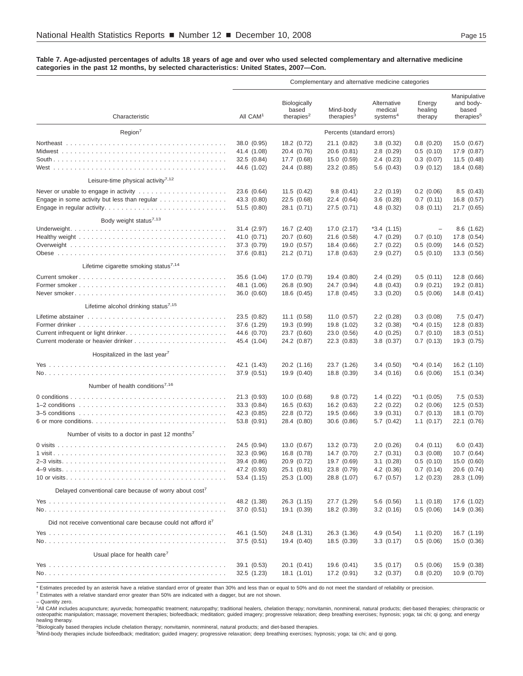#### Table 7. Age-adjusted percentages of adults 18 years of age and over who used selected complementary and alternative medicine **categories in the past 12 months, by selected characteristics: United States, 2007—Con.**

|                                                                                                        | Complementary and alternative medicine categories                       |                                                                        |                                                                         |                                                                         |                                                                            |                                                                          |
|--------------------------------------------------------------------------------------------------------|-------------------------------------------------------------------------|------------------------------------------------------------------------|-------------------------------------------------------------------------|-------------------------------------------------------------------------|----------------------------------------------------------------------------|--------------------------------------------------------------------------|
| Characteristic                                                                                         | All CAM <sup>1</sup>                                                    | <b>Biologically</b><br>based<br>therapies <sup>2</sup>                 | Mind-body<br>therapies <sup>3</sup>                                     | Alternative<br>medical<br>systems <sup>4</sup>                          | Energy<br>healing<br>therapy                                               | Manipulative<br>and body-<br>based<br>therapies <sup>5</sup>             |
| Region <sup>7</sup>                                                                                    |                                                                         |                                                                        | Percents (standard errors)                                              |                                                                         |                                                                            |                                                                          |
|                                                                                                        | 38.0 (0.95)<br>41.4 (1.08)<br>32.5 (0.84)<br>44.6 (1.02)                | 18.2 (0.72)<br>20.4 (0.76)<br>17.7 (0.68)<br>24.4 (0.88)               | 21.1 (0.82)<br>20.6 (0.81)<br>15.0 (0.59)<br>23.2 (0.85)                | 3.8(0.32)<br>2.8(0.29)<br>2.4(0.23)<br>5.6(0.43)                        | 0.8(0.20)<br>0.5(0.10)<br>$0.3$ $(0.07)$<br>0.9(0.12)                      | 15.0 (0.67)<br>17.9 (0.87)<br>11.5(0.48)<br>18.4 (0.68)                  |
| Leisure-time physical activity <sup>7,12</sup>                                                         |                                                                         |                                                                        |                                                                         |                                                                         |                                                                            |                                                                          |
| Engage in some activity but less than regular                                                          | 23.6 (0.64)<br>43.3 (0.80)<br>51.5 (0.80)                               | 11.5(0.42)<br>22.5 (0.68)<br>28.1 (0.71)                               | 9.8(0.41)<br>22.4 (0.64)<br>27.5 (0.71)                                 | $2.2$ $(0.19)$<br>3.6(0.28)<br>4.8 (0.32)                               | $0.2$ (0.06)<br>$0.7$ $(0.11)$<br>$0.8$ $(0.11)$                           | 8.5(0.43)<br>16.8 (0.57)<br>21.7 (0.65)                                  |
| Body weight status <sup>7,13</sup>                                                                     |                                                                         |                                                                        |                                                                         |                                                                         |                                                                            |                                                                          |
|                                                                                                        | 31.4 (2.97)<br>41.0 (0.71)<br>37.3 (0.79)<br>37.6 (0.81)                | $16.7$ $(2.40)$<br>20.7 (0.60)<br>19.0 (0.57)<br>21.2 (0.71)           | 17.0(2.17)<br>21.6 (0.58)<br>18.4 (0.66)<br>17.8 (0.63)                 | $*3.4(1.15)$<br>4.7 (0.29)<br>2.7(0.22)<br>2.9(0.27)                    | $\overline{\phantom{0}}$<br>$0.7$ $(0.10)$<br>0.5(0.09)<br>0.5(0.10)       | 8.6(1.62)<br>17.8 (0.54)<br>14.6 (0.52)<br>13.3 (0.56)                   |
| Lifetime cigarette smoking status <sup>7,14</sup>                                                      |                                                                         |                                                                        |                                                                         |                                                                         |                                                                            |                                                                          |
|                                                                                                        | 35.6 (1.04)<br>48.1 (1.06)<br>36.0 (0.60)                               | 17.0 (0.79)<br>26.8 (0.90)<br>18.6 (0.45)                              | 19.4 (0.80)<br>24.7 (0.94)<br>17.8 (0.45)                               | 2.4(0.29)<br>4.8 (0.43)<br>3.3(0.20)                                    | 0.5(0.11)<br>0.9(0.21)<br>0.5(0.06)                                        | 12.8 (0.66)<br>19.2 (0.81)<br>14.8(0.41)                                 |
| Lifetime alcohol drinking status <sup>7,15</sup>                                                       |                                                                         |                                                                        |                                                                         |                                                                         |                                                                            |                                                                          |
|                                                                                                        | 23.5 (0.82)<br>37.6 (1.29)<br>44.6 (0.70)<br>45.4 (1.04)                | 11.1(0.58)<br>19.3 (0.99)<br>23.7 (0.60)<br>24.2 (0.87)                | 11.0 (0.57)<br>19.8 (1.02)<br>23.0 (0.56)<br>22.3 (0.83)                | $2.2$ (0.28)<br>3.2(0.38)<br>4.0(0.25)<br>3.8(0.37)                     | 0.3(0.08)<br>$*0.4(0.15)$<br>$0.7$ $(0.10)$<br>$0.7$ $(0.13)$              | 7.5(0.47)<br>12.8(0.83)<br>18.3(0.51)<br>19.3 (0.75)                     |
| Hospitalized in the last year <sup>7</sup>                                                             |                                                                         |                                                                        |                                                                         |                                                                         |                                                                            |                                                                          |
|                                                                                                        | 42.1 (1.43)<br>37.9 (0.51)                                              | $20.2$ $(1.16)$<br>19.9 (0.40)                                         | 23.7 (1.26)<br>18.8 (0.39)                                              | 3.4(0.50)<br>3.4(0.16)                                                  | $*0.4(0.14)$<br>0.6(0.06)                                                  | $16.2$ $(1.10)$<br>$15.1$ $(0.34)$                                       |
| Number of health conditions <sup>7,16</sup>                                                            |                                                                         |                                                                        |                                                                         |                                                                         |                                                                            |                                                                          |
| $1-2$ conditions $\ldots \ldots \ldots \ldots \ldots \ldots \ldots \ldots \ldots \ldots \ldots \ldots$ | 21.3 (0.93)<br>33.3 (0.84)<br>42.3 (0.85)<br>53.8 (0.91)                | 10.0 (0.68)<br>16.5(0.63)<br>22.8 (0.72)<br>28.4 (0.80)                | 9.8(0.72)<br>$16.2$ $(0.63)$<br>19.5 (0.66)<br>30.6 (0.86)              | 1.4(0.22)<br>$2.2$ $(0.22)$<br>3.9(0.31)<br>$5.7$ $(0.42)$              | $*0.1(0.05)$<br>$0.2$ (0.06)<br>$0.7$ $(0.13)$<br>$1.1$ (0.17)             | 7.5(0.53)<br>12.5(0.53)<br>18.1 (0.70)<br>22.1 (0.76)                    |
| Number of visits to a doctor in past 12 months <sup>7</sup>                                            |                                                                         |                                                                        |                                                                         |                                                                         |                                                                            |                                                                          |
|                                                                                                        | 24.5 (0.94)<br>32.3 (0.96)<br>39.4 (0.86)<br>47.2 (0.93)<br>53.4 (1.15) | 13.0(0.67)<br>16.8 (0.78)<br>20.9 (0.72)<br>25.1 (0.81)<br>25.3 (1.00) | 13.2 (0.73)<br>14.7 (0.70)<br>19.7 (0.69)<br>23.8 (0.79)<br>28.8 (1.07) | 2.0(0.26)<br>2.7(0.31)<br>$3.1 \ (0.28)$<br>4.2(0.36)<br>$6.7$ $(0.57)$ | 0.4(0.11)<br>$0.3$ $(0.08)$<br>0.5(0.10)<br>$0.7$ $(0.14)$<br>$1.2$ (0.23) | 6.0(0.43)<br>$10.7$ $(0.64)$<br>15.0(0.60)<br>20.6 (0.74)<br>28.3 (1.09) |
| Delayed conventional care because of worry about cost7                                                 |                                                                         |                                                                        |                                                                         |                                                                         |                                                                            |                                                                          |
|                                                                                                        | 48.2 (1.38)<br>37.0 (0.51)                                              | 26.3 (1.15)<br>19.1 (0.39)                                             | 27.7 (1.29)<br>18.2 (0.39)                                              | 5.6 (0.56)<br>$3.2 \ (0.16)$                                            | $1.1$ (0.18)<br>0.5(0.06)                                                  | 17.6 (1.02)<br>14.9 (0.36)                                               |
| Did not receive conventional care because could not afford it <sup>7</sup>                             |                                                                         |                                                                        |                                                                         |                                                                         |                                                                            |                                                                          |
|                                                                                                        | 46.1 (1.50)<br>37.5 (0.51)                                              | 24.8 (1.31)<br>19.4 (0.40)                                             | 26.3 (1.36)<br>18.5(0.39)                                               | 4.9 (0.54)<br>3.3(0.17)                                                 | $1.1$ (0.20)<br>0.5(0.06)                                                  | 16.7 (1.19)<br>15.0 (0.36)                                               |
| Usual place for health care <sup>7</sup>                                                               |                                                                         |                                                                        |                                                                         |                                                                         |                                                                            |                                                                          |
|                                                                                                        | 39.1 (0.53)<br>32.5 (1.23)                                              | 20.1 (0.41)<br>18.1 (1.01)                                             | 19.6(0.41)<br>17.2(0.91)                                                | 3.5(0.17)<br>$3.2$ $(0.37)$                                             | 0.5(0.06)<br>$0.8$ $(0.20)$                                                | 15.9(0.38)<br>10.9(0.70)                                                 |

\* Estimates preceded by an asterisk have a relative standard error of greater than 30% and less than or equal to 50% and do not meet the standard of reliability or precision.

† Estimates with a relative standard error greater than 50% are indicated with a dagger, but are not shown.

– Quantity zero.

<sup>1</sup>All CAM includes acupuncture; ayurveda; homeopathic treatment; naturopathy; traditional healers, chelation therapy; nonvitamin, nonmineral, natural products; diet-based therapies; chiropractic or osteopathic manipulation; massage; movement therapies; biofeedback; meditation; guided imagery; progressive relaxation; deep breathing exercises; hypnosis; yoga; tai chi; qi gong; and energy healing therapy.

2 Biologically based therapies include chelation therapy; nonvitamin, nonmineral, natural products; and diet-based therapies.

<sup>2</sup>Biologically based therapies include chelation therapy; nonvitamin, nonmineral, natural products; and diet-based therapies.<br><sup>3</sup>Mind-body therapies include biofeedback; meditation; guided imagery; progressive relaxation;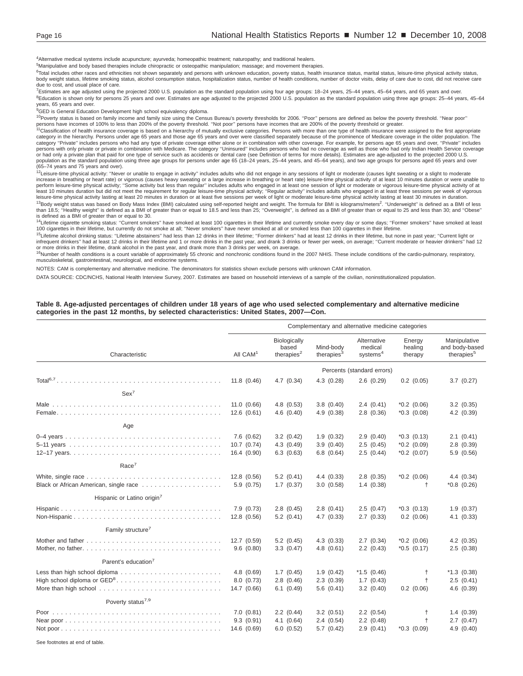<span id="page-15-0"></span>

4 Alternative medical systems include acupuncture; ayurveda; homeopathic treatment; naturopathy; and traditional healers.

<sup>5</sup>Manipulative and body based therapies include chiropractic or osteopathic manipulation; massage; and movement therapies.

°Manipulative and body based therapies include chiropractic or osteopathic manipulation; massage; and movement therapies.<br><sup>6</sup>Total includes other races and ethnicities not shown separately and persons the man beaded and th due to cost, and usual place of care.

7 Estimates are age adjusted using the projected 2000 U.S. population as the standard population using four age groups: 18–24 years, 25–44 years, 45–64 years, and 65 years and over.

<sup>8</sup>Education is shown only for persons 25 years and over. Estimates are age adjusted to the projected 2000 U.S. population as the standard population using three age groups: 25–44 years, 45–64 years, 65 years and over.<br><sup>9</sup>GED is General Education Development high school equivalency diploma.

<sup>y</sup>GED is General Education Development high school equivalency diploma.<br><sup>10</sup>Poverty status is based on family income and family size using the Census Bureau's poverty threshold on Censhold. One poverty threshold. "Near po

™Poverty status is based on family income and family size using the Census Bureau's poverty thresholds for 2006. "Poor" persons are defined as below the poverty threshold. "Near poor"<br>persons have incomes of 100% to less category in the hierarchy. Persons under age 65 years and those age 65 years and over were classified separately because of the prominence of Medicare coverage in the older population. The category "Private" includes persons who had any type of private coverage either alone or in combination with other coverage. For example, for persons age 65 years and over, "Private" includes category "Private" includes persons who had any type of private coverage either alone or in combination with other coverage. For example, for persons age 65 years and over, "Private" includes<br>persons with only private or p or had only a private plan that paid for one type of service such as accidents or dental care (see Definition of terms for more details). Estimates are age-adjusted to the projected 2000 U.S.<br>population as the standard pop (65–74 years and 75 years and over).

<sup>12</sup>Leisure-time physical activity: "Never or unable to engage in activity" includes adults who did not engage in any sessions of light or moderate (causes light sweating or a slight to moderate <sup>1/</sup>Leisure-time physical activity: "Never or unable to engage in activity" includes adults who did not engage in any sessions of light or moderate (causes light sweating or a slight to moderate here the physical activity: <sup>13</sup>Body weight status was based on Body Mass Index (BMI) calculated using self-reported height and weight. The formula for BMI is kilograms/meters<sup>2</sup>. "Underweight" is defined as a BMI of less<br>than 18.5; "Healthy weight" is defined as a BMI of greater than or equal to 30.

is defined as a BMI of greater than or equal to 30.<br><sup>14</sup>Lifetime cigarette smoking status: "Current smokers" have smoked at least 100 cigarettes in their lifetime and currently smoke every day or some days; "Former smokers 100 cigarettes in their lifetime, but currently do not smoke at all; ''Never smokers'' have never smoked at all or smoked less than 100 cigarettes in their lifetime.

100 cigarettes in their lifetime, but currently do not smoke at all; "Never smokers" have never smoked at all or smoked less than 100 cigarettes in their lifetime.<br><sup>15</sup>Lifetime alcohol drinking status: "Lifetime abstainers

or more drinks in their lifetime, drank alcohol in the past year, and drank more than 3 drinks per week, on average. <sup>16</sup>Number of health conditions is a count variable of approximately 55 chronic and nonchronic conditions found in the 2007 NHIS. These include conditions of the cardio-pulmonary, respiratory, musculoskeletal, gastrointestinal, neurological, and endocrine systems.

NOTES: CAM is complementary and alternative medicine. The denominators for statistics shown exclude persons with unknown CAM information.

DATA SOURCE: CDC/NCHS, National Health Interview Survey, 2007. Estimates are based on household interviews of a sample of the civilian, noninstitutionalized population.

#### Table 8. Age-adjusted percentages of children under 18 years of age who used selected complementary and alternative medicine **categories in the past 12 months, by selected characteristics: United States, 2007—Con.**

| Biologically<br>Alternative<br>Energy<br>based<br>Mind-body<br>medical<br>healing<br>All CAM <sup>1</sup><br>therapies <sup>2</sup><br>Characteristic<br>therapies <sup>3</sup><br>systems <sup>4</sup><br>therapy | Manipulative<br>and body-based<br>therapies <sup>5</sup> |
|--------------------------------------------------------------------------------------------------------------------------------------------------------------------------------------------------------------------|----------------------------------------------------------|
| Percents (standard errors)                                                                                                                                                                                         |                                                          |
| 4.7(0.34)<br>2.6(0.29)<br>11.8(0.46)<br>4.3(0.28)<br>$0.2$ (0.05)                                                                                                                                                  | 3.7(0.27)                                                |
| Sex <sup>7</sup>                                                                                                                                                                                                   |                                                          |
| 11.0(0.66)<br>4.8(0.53)<br>3.8(0.40)<br>2.4(0.41)<br>$*0.2$ (0.06)<br>4.9(0.38)<br>$*0.3(0.08)$<br>12.6(0.61)<br>4.6(0.40)<br>2.8(0.36)                                                                            | 3.2(0.35)<br>4.2(0.39)                                   |
| Age                                                                                                                                                                                                                |                                                          |
| 7.6(0.62)<br>3.2(0.42)<br>1.9(0.32)<br>2.9(0.40)<br>$*0.3(0.13)$<br>$10.7$ $(0.74)$<br>4.3(0.49)<br>3.9(0.40)<br>2.5(0.45)<br>$*0.2$ (0.09)<br>16.4 (0.90)<br>6.3(0.63)<br>6.8(0.64)<br>2.5(0.44)<br>$*0.2$ (0.07) | 2.1(0.41)<br>2.8(0.39)<br>5.9(0.56)                      |
| Race <sup>7</sup>                                                                                                                                                                                                  |                                                          |
| 12.8 (0.56)<br>5.2(0.41)<br>4.4(0.33)<br>2.8(0.35)<br>$*0.2$ (0.06)<br>5.9(0.75)<br>1.7(0.37)<br>3.0(0.58)<br>1.4(0.38)<br>$^{\dagger}$                                                                            | 4.4(0.34)<br>$*0.8$ (0.26)                               |
| Hispanic or Latino origin <sup>7</sup>                                                                                                                                                                             |                                                          |
| 2.8(0.45)<br>2.8(0.41)<br>2.5(0.47)<br>$*0.3$ (0.13)<br>7.9(0.73)<br>2.7(0.33)<br>12.8 (0.56)<br>5.2(0.41)<br>4.7(0.33)<br>$0.2$ $(0.06)$                                                                          | 1.9(0.37)<br>4.1(0.33)                                   |
| Family structure <sup>7</sup>                                                                                                                                                                                      |                                                          |
| 12.7 (0.59)<br>$5.2$ (0.45)<br>4.3(0.33)<br>2.7(0.34)<br>$*0.2$ (0.06)<br>9.6(0.80)<br>$*0.5(0.17)$<br>3.3(0.47)<br>4.8(0.61)<br>$2.2$ (0.43)                                                                      | $4.2$ (0.35)<br>2.5(0.38)                                |
| Parent's education <sup>7</sup>                                                                                                                                                                                    |                                                          |
| 1.7(0.45)<br>$*1.5(0.46)$<br>4.8(0.69)<br>1.9(0.42)<br>8.0(0.73)<br>2.8(0.46)<br>2.3(0.39)<br>1.7(0.43)<br>$\ddagger$<br>14.7 (0.66)<br>6.1(0.49)<br>5.6(0.41)<br>3.2(0.40)<br>$0.2$ (0.06)                        | $*1.3(0.38)$<br>2.5(0.41)<br>4.6(0.39)                   |
| Poverty status <sup>7,9</sup>                                                                                                                                                                                      |                                                          |
| 2.2(0.44)<br>$2.2$ (0.54)<br>7.0(0.81)<br>3.2(0.51)<br>Ť<br>$2.2$ (0.48)<br>$\ddagger$<br>9.3(0.91)<br>4.1(0.64)<br>2.4(0.54)<br>14.6 (0.69)<br>6.0(0.52)<br>$5.7$ $(0.42)$<br>2.9(0.41)<br>$*0.3(0.09)$           | 1.4(0.39)<br>2.7(0.47)<br>4.9(0.40)                      |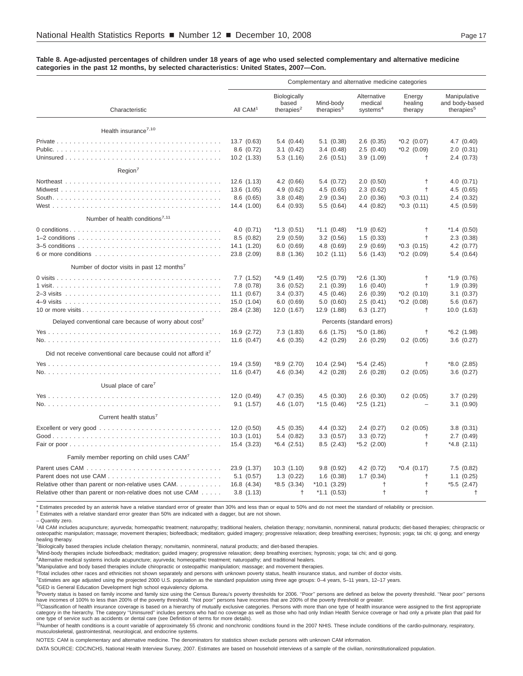#### Table 8. Age-adjusted percentages of children under 18 years of age who used selected complementary and alternative medicine **categories in the past 12 months, by selected characteristics: United States, 2007—Con.**

|                                                                            | Complementary and alternative medicine categories |                                                 |                                     |                                                |                              |                                                          |
|----------------------------------------------------------------------------|---------------------------------------------------|-------------------------------------------------|-------------------------------------|------------------------------------------------|------------------------------|----------------------------------------------------------|
| Characteristic                                                             | All CAM <sup>1</sup>                              | Biologically<br>based<br>therapies <sup>2</sup> | Mind-body<br>therapies <sup>3</sup> | Alternative<br>medical<br>systems <sup>4</sup> | Energy<br>healing<br>therapy | Manipulative<br>and body-based<br>therapies <sup>5</sup> |
| Health insurance <sup>7,10</sup>                                           |                                                   |                                                 |                                     |                                                |                              |                                                          |
|                                                                            | 13.7 (0.63)                                       | 5.4(0.44)                                       | 5.1(0.38)                           | 2.6(0.35)                                      | $*0.2$ (0.07)                | 4.7(0.40)                                                |
|                                                                            | 8.6(0.72)                                         | 3.1(0.42)                                       | 3.4(0.48)                           | 2.5(0.40)                                      | $*0.2(0.09)$                 | 2.0(0.31)                                                |
|                                                                            | $10.2$ $(1.33)$                                   | 5.3(1.16)                                       | 2.6(0.51)                           | 3.9(1.09)                                      | $^{\dagger}$                 | 2.4 (0.73)                                               |
| Region <sup>7</sup>                                                        |                                                   |                                                 |                                     |                                                |                              |                                                          |
|                                                                            | 12.6(1.13)                                        | 4.2 (0.66)                                      | 5.4 (0.72)                          | 2.0(0.50)                                      | $\ddagger$                   | $4.0$ $(0.71)$                                           |
|                                                                            | 13.6 (1.05)                                       | 4.9 (0.62)                                      | 4.5(0.65)                           | 2.3(0.62)                                      | t                            | 4.5 (0.65)                                               |
|                                                                            | 8.6(0.65)                                         | 3.8(0.48)                                       | 2.9 (0.34)                          | 2.0(0.36)                                      | $*0.3(0.11)$                 | 2.4(0.32)                                                |
|                                                                            | 14.4 (1.00)                                       | 6.4(0.93)                                       | 5.5(0.64)                           | 4.4(0.82)                                      | $*0.3(0.11)$                 | 4.5 (0.59)                                               |
| Number of health conditions <sup>7,11</sup>                                |                                                   |                                                 |                                     |                                                |                              |                                                          |
|                                                                            | 4.0(0.71)                                         | $*1.3(0.51)$                                    | $*1.1$ (0.48)                       | *1.9 (0.62)                                    | $^\dagger$                   | $*1.4(0.50)$                                             |
|                                                                            | 8.5(0.82)                                         | 2.9(0.59)                                       | 3.2(0.56)                           | 1.5(0.33)                                      | $^{\dagger}$                 | 2.3(0.38)                                                |
|                                                                            | 14.1 (1.20)                                       | 6.0(0.69)                                       | 4.8(0.69)                           | 2.9(0.69)                                      | $*0.3$ (0.15)                | 4.2 (0.77)                                               |
|                                                                            | 23.8 (2.09)                                       | 8.8 (1.36)                                      | $10.2$ $(1.11)$                     | 5.6(1.43)                                      | $*0.2$ (0.09)                | 5.4(0.64)                                                |
| Number of doctor visits in past 12 months <sup>7</sup>                     |                                                   |                                                 |                                     |                                                |                              |                                                          |
|                                                                            | 7.7(1.52)                                         | $*4.9(1.49)$                                    | $*2.5(0.79)$                        | $*2.6(1.30)$                                   | $\ddagger$                   | $*1.9(0.76)$                                             |
|                                                                            | $7.8$ $(0.78)$                                    | 3.6(0.52)                                       | $2.1$ $(0.39)$                      | 1.6(0.40)                                      | $^{\dagger}$                 | 1.9(0.39)                                                |
| $2 - 3$ visits                                                             | $11.1$ $(0.67)$                                   | 3.4(0.37)                                       | 4.5 (0.46)                          | 2.6(0.39)                                      | $*0.2$ (0.10)                | 3.1 (0.37)                                               |
|                                                                            | 15.0 (1.04)                                       | 6.0(0.69)                                       | 5.0(0.60)                           | 2.5(0.41)                                      | $*0.2$ (0.08)                | 5.6 (0.67)                                               |
|                                                                            | 28.4 (2.38)                                       | 12.0 (1.67)                                     | 12.9 (1.88)                         | $6.3$ $(1.27)$                                 | $^{\dagger}$                 | 10.0 (1.63)                                              |
| Delayed conventional care because of worry about cost <sup>7</sup>         |                                                   |                                                 |                                     | Percents (standard errors)                     |                              |                                                          |
|                                                                            | 16.9 (2.72)                                       | 7.3(1.83)                                       | 6.6 (1.75)                          | *5.0 (1.86)                                    | Ť                            | $*6.2$ (1.98)                                            |
|                                                                            | 11.6(0.47)                                        | 4.6(0.35)                                       | 4.2 (0.29)                          | 2.6(0.29)                                      | $0.2$ (0.05)                 | 3.6(0.27)                                                |
| Did not receive conventional care because could not afford it <sup>7</sup> |                                                   |                                                 |                                     |                                                |                              |                                                          |
|                                                                            | 19.4 (3.59)                                       | *8.9 (2.70)                                     | 10.4 (2.94)                         | *5.4 (2.45)                                    | $^{\dagger}$                 | $*8.0(2.85)$                                             |
|                                                                            | 11.6(0.47)                                        | 4.6 (0.34)                                      | $4.2$ $(0.28)$                      | 2.6(0.28)                                      | $0.2$ $(0.05)$               | 3.6(0.27)                                                |
| Usual place of care <sup>7</sup>                                           |                                                   |                                                 |                                     |                                                |                              |                                                          |
|                                                                            | 12.0(0.49)                                        | $4.7$ $(0.35)$                                  | 4.5(0.30)                           | 2.6(0.30)                                      | $0.2$ $(0.05)$               | 3.7(0.29)                                                |
|                                                                            | 9.1(1.57)                                         | 4.6 (1.07)                                      | $*1.5(0.46)$                        | $*2.5(1.21)$                                   |                              | 3.1(0.90)                                                |
| Current health status <sup>7</sup>                                         |                                                   |                                                 |                                     |                                                |                              |                                                          |
|                                                                            | 12.0(0.50)                                        | 4.5(0.35)                                       | 4.4 (0.32)                          | 2.4(0.27)                                      | $0.2$ $(0.05)$               | 3.8(0.31)                                                |
|                                                                            | 10.3(1.01)                                        | 5.4(0.82)                                       | 3.3(0.57)                           | 3.3(0.72)                                      | $^{\dagger}$                 | $2.7$ (0.49)                                             |
|                                                                            | 15.4 (3.23)                                       | $*6.4(2.51)$                                    | 8.5(2.43)                           | $*5.2$ (2.00)                                  | $\ddagger$                   | *4.8 (2.11)                                              |
| Family member reporting on child uses CAM7                                 |                                                   |                                                 |                                     |                                                |                              |                                                          |
|                                                                            | 23.9 (1.37)                                       | $10.3$ $(1.10)$                                 | 9.8(0.92)                           | $4.2$ $(0.72)$                                 | $*0.4(0.17)$                 | 7.5(0.82)                                                |
|                                                                            | $5.1$ $(0.57)$                                    | 1.3(0.22)                                       | 1.6(0.38)                           | $1.7$ $(0.34)$                                 | $^{\dagger}$                 | $1.1$ $(0.25)$                                           |
| Relative other than parent or non-relative uses CAM.                       | 16.8 (4.34)                                       | $*8.5(3.34)$                                    | $*10.1(3.29)$                       | $\ddagger$                                     | t                            | $*5.5(2.47)$                                             |
| Relative other than parent or non-relative does not use CAM                | 3.8(1.13)                                         | $\ddagger$                                      | $*1.1$ (0.53)                       | $\ddagger$                                     | $^{\dagger}$                 | $\ddagger$                                               |

\* Estimates preceded by an asterisk have a relative standard error of greater than 30% and less than or equal to 50% and do not meet the standard of reliability or precision.

† Estimates with a relative standard error greater than 50% are indicated with a dagger, but are not shown.

– Quantity zero.

1 All CAM includes acupuncture; ayurveda; homeopathic treatment; naturopathy; traditional healers, chelation therapy; nonvitamin, nonmineral, natural products; diet-based therapies; chiropractic or osteopathic manipulation; massage; movement therapies; biofeedback; meditation; guided imagery; progressive relaxation; deep breathing exercises; hypnosis; yoga; tai chi; qi gong; and energy healing therapy.

2 Biologically based therapies include chelation therapy; nonvitamin, nonmineral, natural products; and diet-based therapies.

3 Mind-body therapies include biofeedback; meditation; guided imagery; progressive relaxation; deep breathing exercises; hypnosis; yoga; tai chi; and qi gong.

4 Alternative medical systems include acupuncture; ayurveda; homeopathic treatment; naturopathy; and traditional healers.

<sup>5</sup>Manipulative and body based therapies include chiropractic or osteopathic manipulation; massage; and movement therapies.

<sup>6</sup>Total includes other races and ethnicities not shown separately and persons with unknown poverty status, health insurance status, and number of doctor visits.

7 Estimates are age adjusted using the projected 2000 U.S. population as the standard population using three age groups: 0–4 years, 5–11 years, 12–17 years.

<sup>8</sup>GED is General Education Development high school equivalency diploma.

<sup>9</sup>Poverty status is based on family income and family size using the Census Bureau's poverty thresholds for 2006. "Poor" persons are defined as below the poverty threshold. "Near poor" persons<br>have incomes of 100% to less

<sup>10</sup>Classification of health insurance coverage is based on a hierarchy of mutually exclusive categories. Persons with more than one type of health insurance were assigned to the first appropriate category in the hierarchy. The category "Uninsured" includes persons who had no coverage as well as those who had only Indian Health Service coverage or had only a private plan that paid for one type of service such as accidents or dental care (see Definition of terms for more details).

<sup>11</sup>Number of health conditions is a count variable of approximately 55 chronic and nonchronic conditions found in the 2007 NHIS. These include conditions of the cardio-pulmonary, respiratory, musculoskeletal, gastrointestinal, neurological, and endocrine systems.

NOTES: CAM is complementary and alternative medicine. The denominators for statistics shown exclude persons with unknown CAM information.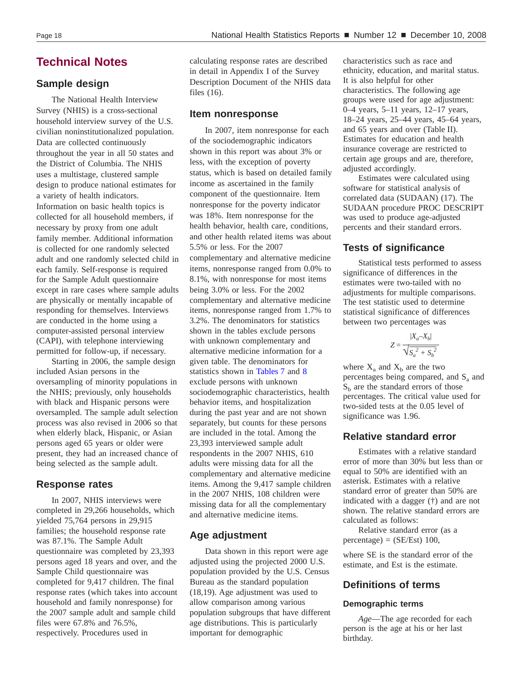## <span id="page-17-0"></span>**Technical Notes**

### **Sample design**

The National Health Interview Survey (NHIS) is a cross-sectional household interview survey of the U.S. civilian noninstitutionalized population. Data are collected continuously throughout the year in all 50 states and the District of Columbia. The NHIS uses a multistage, clustered sample design to produce national estimates for a variety of health indicators. Information on basic health topics is collected for all household members, if necessary by proxy from one adult family member. Additional information is collected for one randomly selected adult and one randomly selected child in each family. Self-response is required for the Sample Adult questionnaire except in rare cases where sample adults are physically or mentally incapable of responding for themselves. Interviews are conducted in the home using a computer-assisted personal interview (CAPI), with telephone interviewing permitted for follow-up, if necessary.

Starting in 2006, the sample design included Asian persons in the oversampling of minority populations in the NHIS; previously, only households with black and Hispanic persons were oversampled. The sample adult selection process was also revised in 2006 so that when elderly black, Hispanic, or Asian persons aged 65 years or older were present, they had an increased chance of being selected as the sample adult.

### **Response rates**

In 2007, NHIS interviews were completed in 29,266 households, which yielded 75,764 persons in 29,915 families; the household response rate was 87.1%. The Sample Adult questionnaire was completed by 23,393 persons aged 18 years and over, and the Sample Child questionnaire was completed for 9,417 children. The final response rates (which takes into account household and family nonresponse) for the 2007 sample adult and sample child files were 67.8% and 76.5%, respectively. Procedures used in

calculating response rates are described in detail in Appendix I of the Survey Description Document of the NHIS data files (16).

### **Item nonresponse**

In 2007, item nonresponse for each of the sociodemographic indicators shown in this report was about 3% or less, with the exception of poverty status, which is based on detailed family income as ascertained in the family component of the questionnaire. Item nonresponse for the poverty indicator was 18%. Item nonresponse for the health behavior, health care, conditions, and other health related items was about 5.5% or less. For the 2007 complementary and alternative medicine items, nonresponse ranged from 0.0% to 8.1%, with nonresponse for most items being 3.0% or less. For the 2002 complementary and alternative medicine items, nonresponse ranged from 1.7% to 3.2%. The denominators for statistics shown in the tables exclude persons with unknown complementary and alternative medicine information for a given table. The denominators for statistics shown in [Tables](#page-13-0) 7 and [8](#page-15-0) exclude persons with unknown sociodemographic characteristics, health behavior items, and hospitalization during the past year and are not shown separately, but counts for these persons are included in the total. Among the 23,393 interviewed sample adult respondents in the 2007 NHIS, 610 adults were missing data for all the complementary and alternative medicine items. Among the 9,417 sample children in the 2007 NHIS, 108 children were missing data for all the complementary and alternative medicine items.

### **Age adjustment**

Data shown in this report were age adjusted using the projected 2000 U.S. population provided by the U.S. Census Bureau as the standard population (18,19). Age adjustment was used to allow comparison among various population subgroups that have different age distributions. This is particularly important for demographic

characteristics such as race and ethnicity, education, and marital status. It is also helpful for other characteristics. The following age groups were used for age adjustment: 0–4 years, 5–11 years, 12–17 years, 18–24 years, 25–44 years, 45–64 years, and 65 years and over (Table II). Estimates for education and health insurance coverage are restricted to certain age groups and are, therefore, adjusted accordingly.

Estimates were calculated using software for statistical analysis of correlated data (SUDAAN) (17). The SUDAAN procedure PROC DESCRIPT was used to produce age-adjusted percents and their standard errors.

### **Tests of significance**

Statistical tests performed to assess significance of differences in the estimates were two-tailed with no adjustments for multiple comparisons. The test statistic used to determine statistical significance of differences between two percentages was

$$
Z = \frac{|X_a - X_b|}{\sqrt{S_a^2 + S_b^2}}
$$

where  $X_a$  and  $X_b$  are the two percentages being compared, and  $S_a$  and  $S<sub>b</sub>$  are the standard errors of those percentages. The critical value used for two-sided tests at the 0.05 level of significance was 1.96.

### **Relative standard error**

Estimates with a relative standard error of more than 30% but less than or equal to 50% are identified with an asterisk. Estimates with a relative standard error of greater than 50% are indicated with a dagger (†) and are not shown. The relative standard errors are calculated as follows:

Relative standard error (as a  $percentage) = (SE/Est) 100,$ 

where SE is the standard error of the estimate, and Est is the estimate.

### **Definitions of terms**

### **Demographic terms**

*Age*—The age recorded for each person is the age at his or her last birthday.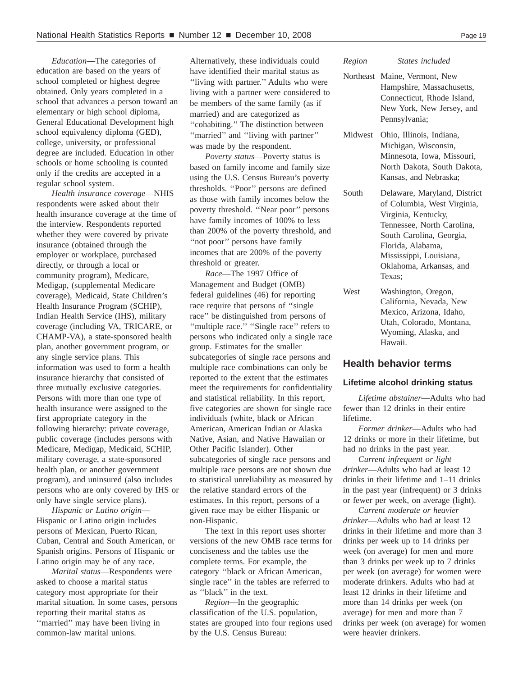*Education*—The categories of education are based on the years of school completed or highest degree obtained. Only years completed in a school that advances a person toward an elementary or high school diploma, General Educational Development high school equivalency diploma (GED), college, university, or professional degree are included. Education in other schools or home schooling is counted only if the credits are accepted in a regular school system.

*Health insurance coverage*—NHIS respondents were asked about their health insurance coverage at the time of the interview. Respondents reported whether they were covered by private insurance (obtained through the employer or workplace, purchased directly, or through a local or community program), Medicare, Medigap, (supplemental Medicare coverage), Medicaid, State Children's Health Insurance Program (SCHIP), Indian Health Service (IHS), military coverage (including VA, TRICARE, or CHAMP-VA), a state-sponsored health plan, another government program, or any single service plans. This information was used to form a health insurance hierarchy that consisted of three mutually exclusive categories. Persons with more than one type of health insurance were assigned to the first appropriate category in the following hierarchy: private coverage, public coverage (includes persons with Medicare, Medigap, Medicaid, SCHIP, military coverage, a state-sponsored health plan, or another government program), and uninsured (also includes persons who are only covered by IHS or only have single service plans).

*Hispanic or Latino origin*— Hispanic or Latino origin includes persons of Mexican, Puerto Rican, Cuban, Central and South American, or Spanish origins. Persons of Hispanic or Latino origin may be of any race.

*Marital status*—Respondents were asked to choose a marital status category most appropriate for their marital situation. In some cases, persons reporting their marital status as ''married'' may have been living in common-law marital unions.

Alternatively, these individuals could have identified their marital status as ''living with partner.'' Adults who were living with a partner were considered to be members of the same family (as if married) and are categorized as ''cohabiting.'' The distinction between ''married'' and ''living with partner'' was made by the respondent.

*Poverty status*—Poverty status is based on family income and family size using the U.S. Census Bureau's poverty thresholds. ''Poor'' persons are defined as those with family incomes below the poverty threshold. ''Near poor'' persons have family incomes of 100% to less than 200% of the poverty threshold, and "not poor" persons have family incomes that are 200% of the poverty threshold or greater.

*Race*—The 1997 Office of Management and Budget (OMB) federal guidelines (46) for reporting race require that persons of ''single race'' be distinguished from persons of ''multiple race.'' ''Single race'' refers to persons who indicated only a single race group. Estimates for the smaller subcategories of single race persons and multiple race combinations can only be reported to the extent that the estimates meet the requirements for confidentiality and statistical reliability. In this report, five categories are shown for single race individuals (white, black or African American, American Indian or Alaska Native, Asian, and Native Hawaiian or Other Pacific Islander). Other subcategories of single race persons and multiple race persons are not shown due to statistical unreliability as measured by the relative standard errors of the estimates. In this report, persons of a given race may be either Hispanic or non-Hispanic.

The text in this report uses shorter versions of the new OMB race terms for conciseness and the tables use the complete terms. For example, the category ''black or African American, single race'' in the tables are referred to as ''black'' in the text.

*Region*—In the geographic classification of the U.S. population, states are grouped into four regions used by the U.S. Census Bureau:

|         | Northeast Maine, Vermont, New<br>Hampshire, Massachusetts,<br>Connecticut, Rhode Island,<br>New York, New Jersey, and<br>Pennsylvania;                                                                                            |
|---------|-----------------------------------------------------------------------------------------------------------------------------------------------------------------------------------------------------------------------------------|
| Midwest | Ohio, Illinois, Indiana,<br>Michigan, Wisconsin,<br>Minnesota, Iowa, Missouri,<br>North Dakota, South Dakota,<br>Kansas, and Nebraska;                                                                                            |
| South   | Delaware, Maryland, District<br>of Columbia, West Virginia,<br>Virginia, Kentucky,<br>Tennessee, North Carolina,<br>South Carolina, Georgia,<br>Florida, Alabama,<br>Mississippi, Louisiana,<br>Oklahoma, Arkansas, and<br>Texas: |
| West    | Washington, Oregon,<br>California, Nevada, New<br>$M_{\text{eff}}$ $\sim$ $M_{\text{eff}}$ $\sim$ $M_{\text{eff}}$                                                                                                                |

*Region States included*

Mexico, Arizona, Idaho, Utah, Colorado, Montana, Wyoming, Alaska, and Hawaii.

### **Health behavior terms**

#### **Lifetime alcohol drinking status**

*Lifetime abstainer*—Adults who had fewer than 12 drinks in their entire lifetime.

*Former drinker*—Adults who had 12 drinks or more in their lifetime, but had no drinks in the past year.

*Current infrequent or light drinker*—Adults who had at least 12 drinks in their lifetime and 1–11 drinks in the past year (infrequent) or 3 drinks or fewer per week, on average (light).

*Current moderate or heavier drinker*—Adults who had at least 12 drinks in their lifetime and more than 3 drinks per week up to 14 drinks per week (on average) for men and more than 3 drinks per week up to 7 drinks per week (on average) for women were moderate drinkers. Adults who had at least 12 drinks in their lifetime and more than 14 drinks per week (on average) for men and more than 7 drinks per week (on average) for women were heavier drinkers.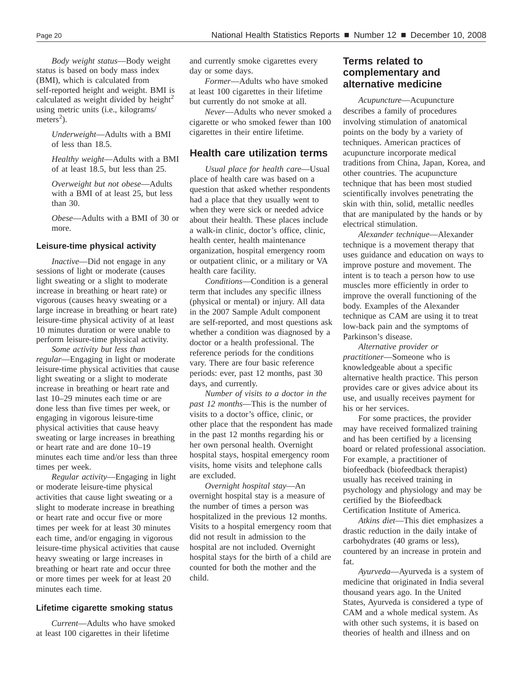*Body weight status*—Body weight status is based on body mass index (BMI), which is calculated from self-reported height and weight. BMI is calculated as weight divided by height $^2$ using metric units (i.e., kilograms/  $meters<sup>2</sup>$ ).

> *Underweight*—Adults with a BMI of less than 18.5.

*Healthy weight*—Adults with a BMI of at least 18.5, but less than 25.

*Overweight but not obese*—Adults with a BMI of at least 25, but less than 30.

*Obese*—Adults with a BMI of 30 or more.

### **Leisure-time physical activity**

*Inactive*—Did not engage in any sessions of light or moderate (causes light sweating or a slight to moderate increase in breathing or heart rate) or vigorous (causes heavy sweating or a large increase in breathing or heart rate) leisure-time physical activity of at least 10 minutes duration or were unable to perform leisure-time physical activity.

*Some activity but less than regular*—Engaging in light or moderate leisure-time physical activities that cause light sweating or a slight to moderate increase in breathing or heart rate and last 10–29 minutes each time or are done less than five times per week, or engaging in vigorous leisure-time physical activities that cause heavy sweating or large increases in breathing or heart rate and are done 10–19 minutes each time and/or less than three times per week.

*Regular activity*—Engaging in light or moderate leisure-time physical activities that cause light sweating or a slight to moderate increase in breathing or heart rate and occur five or more times per week for at least 30 minutes each time, and/or engaging in vigorous leisure-time physical activities that cause heavy sweating or large increases in breathing or heart rate and occur three or more times per week for at least 20 minutes each time.

#### **Lifetime cigarette smoking status**

*Current*—Adults who have smoked at least 100 cigarettes in their lifetime

and currently smoke cigarettes every day or some days.

*Former*—Adults who have smoked at least 100 cigarettes in their lifetime but currently do not smoke at all.

*Never*—Adults who never smoked a cigarette or who smoked fewer than 100 cigarettes in their entire lifetime.

### **Health care utilization terms**

*Usual place for health care*—Usual place of health care was based on a question that asked whether respondents had a place that they usually went to when they were sick or needed advice about their health. These places include a walk-in clinic, doctor's office, clinic, health center, health maintenance organization, hospital emergency room or outpatient clinic, or a military or VA health care facility.

*Conditions*—Condition is a general term that includes any specific illness (physical or mental) or injury. All data in the 2007 Sample Adult component are self-reported, and most questions ask whether a condition was diagnosed by a doctor or a health professional. The reference periods for the conditions vary. There are four basic reference periods: ever, past 12 months, past 30 days, and currently.

*Number of visits to a doctor in the past 12 months*—This is the number of visits to a doctor's office, clinic, or other place that the respondent has made in the past 12 months regarding his or her own personal health. Overnight hospital stays, hospital emergency room visits, home visits and telephone calls are excluded.

*Overnight hospital stay*—An overnight hospital stay is a measure of the number of times a person was hospitalized in the previous 12 months. Visits to a hospital emergency room that did not result in admission to the hospital are not included. Overnight hospital stays for the birth of a child are counted for both the mother and the child.

### **Terms related to complementary and alternative medicine**

*Acupuncture*—Acupuncture describes a family of procedures involving stimulation of anatomical points on the body by a variety of techniques. American practices of acupuncture incorporate medical traditions from China, Japan, Korea, and other countries. The acupuncture technique that has been most studied scientifically involves penetrating the skin with thin, solid, metallic needles that are manipulated by the hands or by electrical stimulation.

*Alexander technique*—Alexander technique is a movement therapy that uses guidance and education on ways to improve posture and movement. The intent is to teach a person how to use muscles more efficiently in order to improve the overall functioning of the body. Examples of the Alexander technique as CAM are using it to treat low-back pain and the symptoms of Parkinson's disease.

*Alternative provider or practitioner*—Someone who is knowledgeable about a specific alternative health practice. This person provides care or gives advice about its use, and usually receives payment for his or her services.

For some practices, the provider may have received formalized training and has been certified by a licensing board or related professional association. For example, a practitioner of biofeedback (biofeedback therapist) usually has received training in psychology and physiology and may be certified by the Biofeedback Certification Institute of America.

*Atkins diet*—This diet emphasizes a drastic reduction in the daily intake of carbohydrates (40 grams or less), countered by an increase in protein and fat.

*Ayurveda*—Ayurveda is a system of medicine that originated in India several thousand years ago. In the United States, Ayurveda is considered a type of CAM and a whole medical system. As with other such systems, it is based on theories of health and illness and on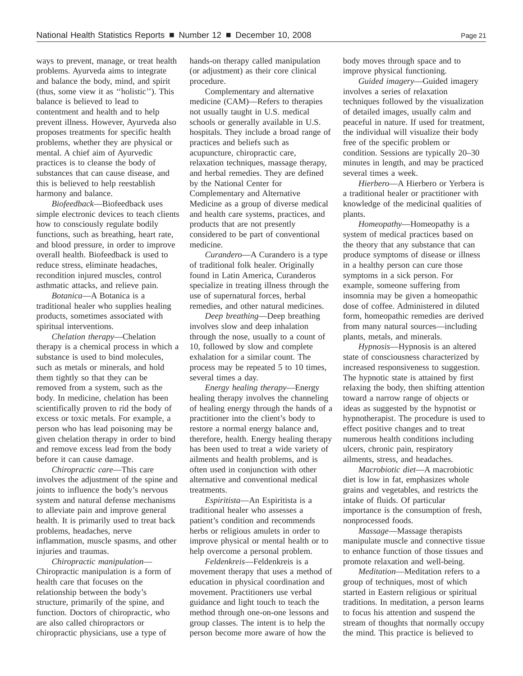ways to prevent, manage, or treat health problems. Ayurveda aims to integrate and balance the body, mind, and spirit (thus, some view it as ''holistic''). This balance is believed to lead to contentment and health and to help prevent illness. However, Ayurveda also proposes treatments for specific health problems, whether they are physical or mental. A chief aim of Ayurvedic practices is to cleanse the body of substances that can cause disease, and this is believed to help reestablish harmony and balance.

*Biofeedback*—Biofeedback uses simple electronic devices to teach clients how to consciously regulate bodily functions, such as breathing, heart rate, and blood pressure, in order to improve overall health. Biofeedback is used to reduce stress, eliminate headaches, recondition injured muscles, control asthmatic attacks, and relieve pain.

*Botanica*—A Botanica is a traditional healer who supplies healing products, sometimes associated with spiritual interventions.

*Chelation therapy*—Chelation therapy is a chemical process in which a substance is used to bind molecules, such as metals or minerals, and hold them tightly so that they can be removed from a system, such as the body. In medicine, chelation has been scientifically proven to rid the body of excess or toxic metals. For example, a person who has lead poisoning may be given chelation therapy in order to bind and remove excess lead from the body before it can cause damage.

*Chiropractic care*—This care involves the adjustment of the spine and joints to influence the body's nervous system and natural defense mechanisms to alleviate pain and improve general health. It is primarily used to treat back problems, headaches, nerve inflammation, muscle spasms, and other injuries and traumas.

*Chiropractic manipulation*— Chiropractic manipulation is a form of health care that focuses on the relationship between the body's structure, primarily of the spine, and function. Doctors of chiropractic, who are also called chiropractors or chiropractic physicians, use a type of

hands-on therapy called manipulation (or adjustment) as their core clinical procedure.

Complementary and alternative medicine (CAM)—Refers to therapies not usually taught in U.S. medical schools or generally available in U.S. hospitals. They include a broad range of practices and beliefs such as acupuncture, chiropractic care, relaxation techniques, massage therapy, and herbal remedies. They are defined by the National Center for Complementary and Alternative Medicine as a group of diverse medical and health care systems, practices, and products that are not presently considered to be part of conventional medicine.

*Curandero*—A Curandero is a type of traditional folk healer. Originally found in Latin America, Curanderos specialize in treating illness through the use of supernatural forces, herbal remedies, and other natural medicines.

*Deep breathing*—Deep breathing involves slow and deep inhalation through the nose, usually to a count of 10, followed by slow and complete exhalation for a similar count. The process may be repeated 5 to 10 times, several times a day.

*Energy healing therapy*—Energy healing therapy involves the channeling of healing energy through the hands of a practitioner into the client's body to restore a normal energy balance and, therefore, health. Energy healing therapy has been used to treat a wide variety of ailments and health problems, and is often used in conjunction with other alternative and conventional medical treatments.

*Espiritista*—An Espiritista is a traditional healer who assesses a patient's condition and recommends herbs or religious amulets in order to improve physical or mental health or to help overcome a personal problem.

*Feldenkreis*—Feldenkreis is a movement therapy that uses a method of education in physical coordination and movement. Practitioners use verbal guidance and light touch to teach the method through one-on-one lessons and group classes. The intent is to help the person become more aware of how the

body moves through space and to improve physical functioning.

*Guided imagery*—Guided imagery involves a series of relaxation techniques followed by the visualization of detailed images, usually calm and peaceful in nature. If used for treatment, the individual will visualize their body free of the specific problem or condition. Sessions are typically 20–30 minutes in length, and may be practiced several times a week.

*Hierbero*—A Hierbero or Yerbera is a traditional healer or practitioner with knowledge of the medicinal qualities of plants.

*Homeopathy*—Homeopathy is a system of medical practices based on the theory that any substance that can produce symptoms of disease or illness in a healthy person can cure those symptoms in a sick person. For example, someone suffering from insomnia may be given a homeopathic dose of coffee. Administered in diluted form, homeopathic remedies are derived from many natural sources—including plants, metals, and minerals.

*Hypnosis*—Hypnosis is an altered state of consciousness characterized by increased responsiveness to suggestion. The hypnotic state is attained by first relaxing the body, then shifting attention toward a narrow range of objects or ideas as suggested by the hypnotist or hypnotherapist. The procedure is used to effect positive changes and to treat numerous health conditions including ulcers, chronic pain, respiratory ailments, stress, and headaches.

*Macrobiotic diet*—A macrobiotic diet is low in fat, emphasizes whole grains and vegetables, and restricts the intake of fluids. Of particular importance is the consumption of fresh, nonprocessed foods.

*Massage*—Massage therapists manipulate muscle and connective tissue to enhance function of those tissues and promote relaxation and well-being.

*Meditation*—Meditation refers to a group of techniques, most of which started in Eastern religious or spiritual traditions. In meditation, a person learns to focus his attention and suspend the stream of thoughts that normally occupy the mind. This practice is believed to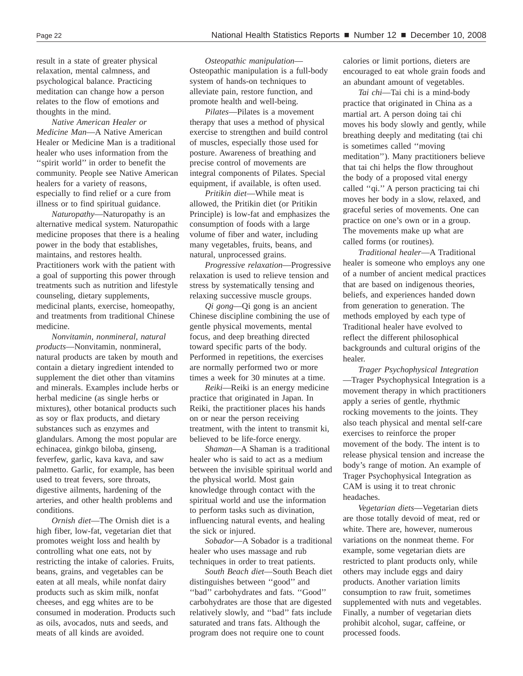result in a state of greater physical relaxation, mental calmness, and psychological balance. Practicing meditation can change how a person relates to the flow of emotions and thoughts in the mind.

*Native American Healer or Medicine Man*—A Native American Healer or Medicine Man is a traditional healer who uses information from the ''spirit world'' in order to benefit the community. People see Native American healers for a variety of reasons, especially to find relief or a cure from illness or to find spiritual guidance.

*Naturopathy*—Naturopathy is an alternative medical system. Naturopathic medicine proposes that there is a healing power in the body that establishes, maintains, and restores health. Practitioners work with the patient with a goal of supporting this power through treatments such as nutrition and lifestyle counseling, dietary supplements, medicinal plants, exercise, homeopathy, and treatments from traditional Chinese medicine.

*Nonvitamin, nonmineral, natural products*—Nonvitamin, nonmineral, natural products are taken by mouth and contain a dietary ingredient intended to supplement the diet other than vitamins and minerals. Examples include herbs or herbal medicine (as single herbs or mixtures), other botanical products such as soy or flax products, and dietary substances such as enzymes and glandulars. Among the most popular are echinacea, ginkgo biloba, ginseng, feverfew, garlic, kava kava, and saw palmetto. Garlic, for example, has been used to treat fevers, sore throats, digestive ailments, hardening of the arteries, and other health problems and conditions.

*Ornish diet*—The Ornish diet is a high fiber, low-fat, vegetarian diet that promotes weight loss and health by controlling what one eats, not by restricting the intake of calories. Fruits, beans, grains, and vegetables can be eaten at all meals, while nonfat dairy products such as skim milk, nonfat cheeses, and egg whites are to be consumed in moderation. Products such as oils, avocados, nuts and seeds, and meats of all kinds are avoided.

*Osteopathic manipulation*— Osteopathic manipulation is a full-body system of hands-on techniques to alleviate pain, restore function, and promote health and well-being.

*Pilates*—Pilates is a movement therapy that uses a method of physical exercise to strengthen and build control of muscles, especially those used for posture. Awareness of breathing and precise control of movements are integral components of Pilates. Special equipment, if available, is often used.

*Pritikin diet*—While meat is allowed, the Pritikin diet (or Pritikin Principle) is low-fat and emphasizes the consumption of foods with a large volume of fiber and water, including many vegetables, fruits, beans, and natural, unprocessed grains.

*Progressive relaxation*—Progressive relaxation is used to relieve tension and stress by systematically tensing and relaxing successive muscle groups.

*Qi gong*—Qi gong is an ancient Chinese discipline combining the use of gentle physical movements, mental focus, and deep breathing directed toward specific parts of the body. Performed in repetitions, the exercises are normally performed two or more times a week for 30 minutes at a time.

*Reiki*—Reiki is an energy medicine practice that originated in Japan. In Reiki, the practitioner places his hands on or near the person receiving treatment, with the intent to transmit ki, believed to be life-force energy.

*Shaman*—A Shaman is a traditional healer who is said to act as a medium between the invisible spiritual world and the physical world. Most gain knowledge through contact with the spiritual world and use the information to perform tasks such as divination, influencing natural events, and healing the sick or injured.

*Sobador*—A Sobador is a traditional healer who uses massage and rub techniques in order to treat patients.

*South Beach diet*—South Beach diet distinguishes between ''good'' and ''bad'' carbohydrates and fats. ''Good'' carbohydrates are those that are digested relatively slowly, and ''bad'' fats include saturated and trans fats. Although the program does not require one to count

calories or limit portions, dieters are encouraged to eat whole grain foods and an abundant amount of vegetables.

*Tai chi*—Tai chi is a mind-body practice that originated in China as a martial art. A person doing tai chi moves his body slowly and gently, while breathing deeply and meditating (tai chi is sometimes called ''moving meditation''). Many practitioners believe that tai chi helps the flow throughout the body of a proposed vital energy called ''qi.'' A person practicing tai chi moves her body in a slow, relaxed, and graceful series of movements. One can practice on one's own or in a group. The movements make up what are called forms (or routines).

*Traditional healer*—A Traditional healer is someone who employs any one of a number of ancient medical practices that are based on indigenous theories, beliefs, and experiences handed down from generation to generation. The methods employed by each type of Traditional healer have evolved to reflect the different philosophical backgrounds and cultural origins of the healer.

*Trager Psychophysical Integration* —Trager Psychophysical Integration is a movement therapy in which practitioners apply a series of gentle, rhythmic rocking movements to the joints. They also teach physical and mental self-care exercises to reinforce the proper movement of the body. The intent is to release physical tension and increase the body's range of motion. An example of Trager Psychophysical Integration as CAM is using it to treat chronic headaches.

*Vegetarian diets*—Vegetarian diets are those totally devoid of meat, red or white. There are, however, numerous variations on the nonmeat theme. For example, some vegetarian diets are restricted to plant products only, while others may include eggs and dairy products. Another variation limits consumption to raw fruit, sometimes supplemented with nuts and vegetables. Finally, a number of vegetarian diets prohibit alcohol, sugar, caffeine, or processed foods.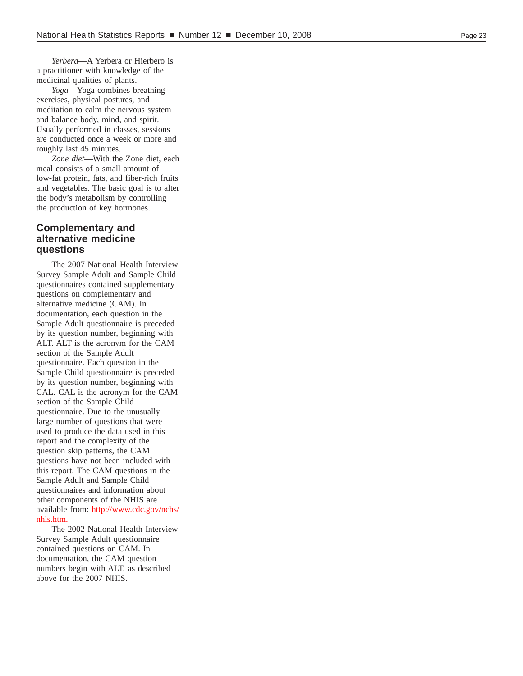*Yerbera*—A Yerbera or Hierbero is a practitioner with knowledge of the medicinal qualities of plants.

*Yoga*—Yoga combines breathing exercises, physical postures, and meditation to calm the nervous system and balance body, mind, and spirit. Usually performed in classes, sessions are conducted once a week or more and roughly last 45 minutes.

*Zone diet*—With the Zone diet, each meal consists of a small amount of low-fat protein, fats, and fiber-rich fruits and vegetables. The basic goal is to alter the body's metabolism by controlling the production of key hormones.

### **Complementary and alternative medicine questions**

The 2007 National Health Interview Survey Sample Adult and Sample Child questionnaires contained supplementary questions on complementary and alternative medicine (CAM). In documentation, each question in the Sample Adult questionnaire is preceded by its question number, beginning with ALT. ALT is the acronym for the CAM section of the Sample Adult questionnaire. Each question in the Sample Child questionnaire is preceded by its question number, beginning with CAL. CAL is the acronym for the CAM section of the Sample Child questionnaire. Due to the unusually large number of questions that were used to produce the data used in this report and the complexity of the question skip patterns, the CAM questions have not been included with this report. The CAM questions in the Sample Adult and Sample Child questionnaires and information about other components of the NHIS are available from: [http://www.cdc.gov/nchs/](http://www.cdc.gov/nchs/nhis.htm) nhis.htm.

The 2002 National Health Interview Survey Sample Adult questionnaire contained questions on CAM. In documentation, the CAM question numbers begin with ALT, as described above for the 2007 NHIS.